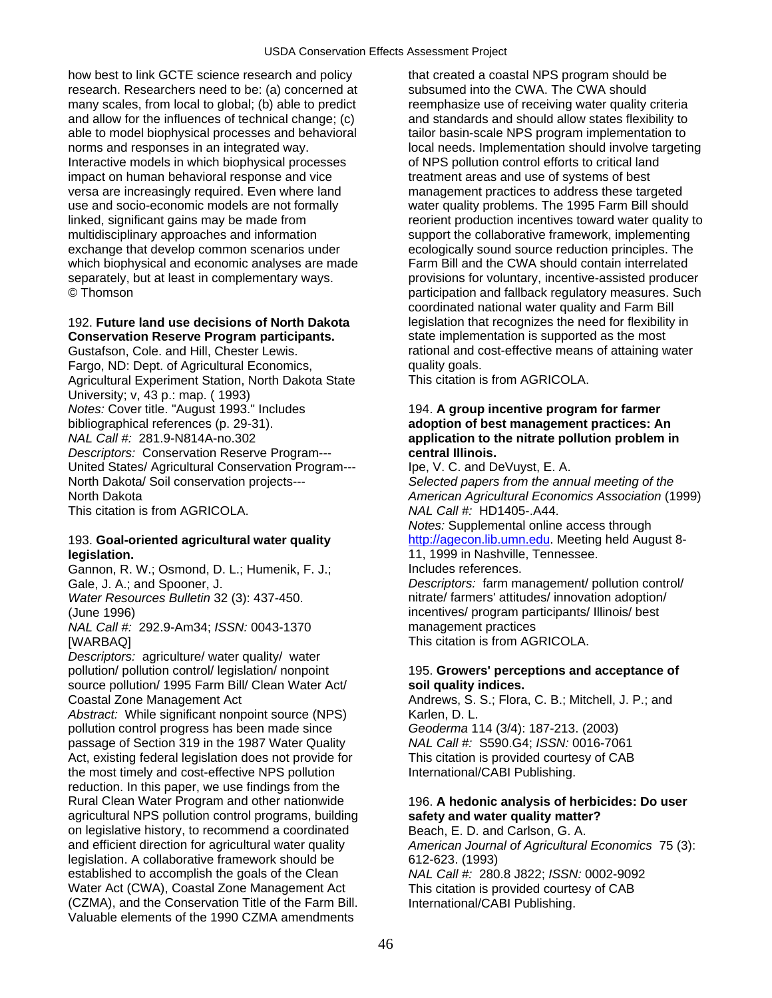how best to link GCTE science research and policy that created a coastal NPS program should be research. Researchers need to be: (a) concerned at subsumed into the CWA. The CWA should many scales, from local to global; (b) able to predict reemphasize use of receiving water quality criteria and allow for the influences of technical change; (c) and standards and should allow states flexibility to able to model biophysical processes and behavioral tailor basin-scale NPS program implementation to norms and responses in an integrated way. local needs. Implementation should involve targeting Interactive models in which biophysical processes of NPS pollution control efforts to critical land impact on human behavioral response and vice treatment areas and use of systems of best versa are increasingly required. Even where land management practices to address these targeted use and socio-economic models are not formally water quality problems. The 1995 Farm Bill should linked, significant gains may be made from represent production incentives toward water quality to multidisciplinary approaches and information support the collaborative framework, implementing exchange that develop common scenarios under ecologically sound source reduction principles. The which biophysical and economic analyses are made Farm Bill and the CWA should contain interrelated separately, but at least in complementary ways. provisions for voluntary, incentive-assisted producer © Thomson participation and fallback regulatory measures. Such

### 192. **Future land use decisions of North Dakota** legislation that recognizes the need for flexibility in **Conservation Reserve Program participants.** State implementation is supported as the most

Gustafson, Cole. and Hill, Chester Lewis. rational and cost-effective means of attaining water Fargo, ND: Dept. of Agricultural Economics, quality goals. Agricultural Experiment Station, North Dakota State This citation is from AGRICOLA. University; v, 43 p.: map. ( 1993) *Notes:* Cover title. "August 1993." Includes 194. A group incentive program for farmer bibliographical references (p. 29-31). **adoption of best management practices: An**  *NAL Call #:* 281.9-N814A-no.302 **application to the nitrate pollution problem in**  *Descriptors:* Conservation Reserve Program--- **central Illinois.**  United States/ Agricultural Conservation Program--- Ipe, V. C. and DeVuyst, E. A. North Dakota/ Soil conservation projects--- *Selected papers from the annual meeting of the*  North Dakota *American Agricultural Economics Association* (1999) This citation is from AGRICOLA. *NAL Call #:* HD1405-.A44.

# **legislation. 11, 1999 in Nashville, Tennessee.**<br>Gannon, R. W.: Osmond, D. L.: Humenik, F. J.: **11, 1999 in Nashville, Tennessee.**

Gannon, R. W.; Osmond, D. L.; Humenik, F. J.;

*NAL Call #:* 292.9-Am34; *ISSN:* 0043-1370 management practices [WARBAQ] This citation is from AGRICOLA.

*Descriptors:* agriculture/ water quality/ water pollution/ pollution control/ legislation/ nonpoint 195. **Growers' perceptions and acceptance of**  source pollution/ 1995 Farm Bill/ Clean Water Act/ **soil quality indices.**  Coastal Zone Management Act **Andrews, S. S.; Flora, C. B.; Mitchell, J. P.**; and

Abstract: While significant nonpoint source (NPS) Karlen, D. L. pollution control progress has been made since *Geoderma* 114 (3/4): 187-213. (2003) passage of Section 319 in the 1987 Water Quality *NAL Call #:* S590.G4; *ISSN:* 0016-7061 Act, existing federal legislation does not provide for This citation is provided courtesy of CAB the most timely and cost-effective NPS pollution **International**/CABI Publishing. reduction. In this paper, we use findings from the Rural Clean Water Program and other nationwide 196. **A hedonic analysis of herbicides: Do user**  agricultural NPS pollution control programs, building **safety and water quality matter?**  on legislative history, to recommend a coordinated Beach, E. D. and Carlson, G. A.<br>
and efficient direction for agricultural water quality *American Journal of Agricultural* legislation. A collaborative framework should be 612-623. (1993) established to accomplish the goals of the Clean *NAL Call #:* 280.8 J822; *ISSN:* 0002-9092 Water Act (CWA), Coastal Zone Management Act This citation is provided courtesy of CAB (CZMA), and the Conservation Title of the Farm Bill. International/CABI Publishing. Valuable elements of the 1990 CZMA amendments

coordinated national water quality and Farm Bill

*Notes:* Supplemental online access through 193. **Goal-oriented agricultural water quality** [http://agecon.lib.umn.edu](http://agecon.lib.umn.edu/). Meeting held August 8-

Gale, J. A.; and Spooner, J. *Descriptors:* farm management/ pollution control/ *Water Resources Bulletin* 32 (3): 437-450. httrate/ farmers' attitudes/ innovation adoption/ (June 1996) incentives/ program participants/ Illinois/ best

American Journal of Agricultural Economics 75 (3):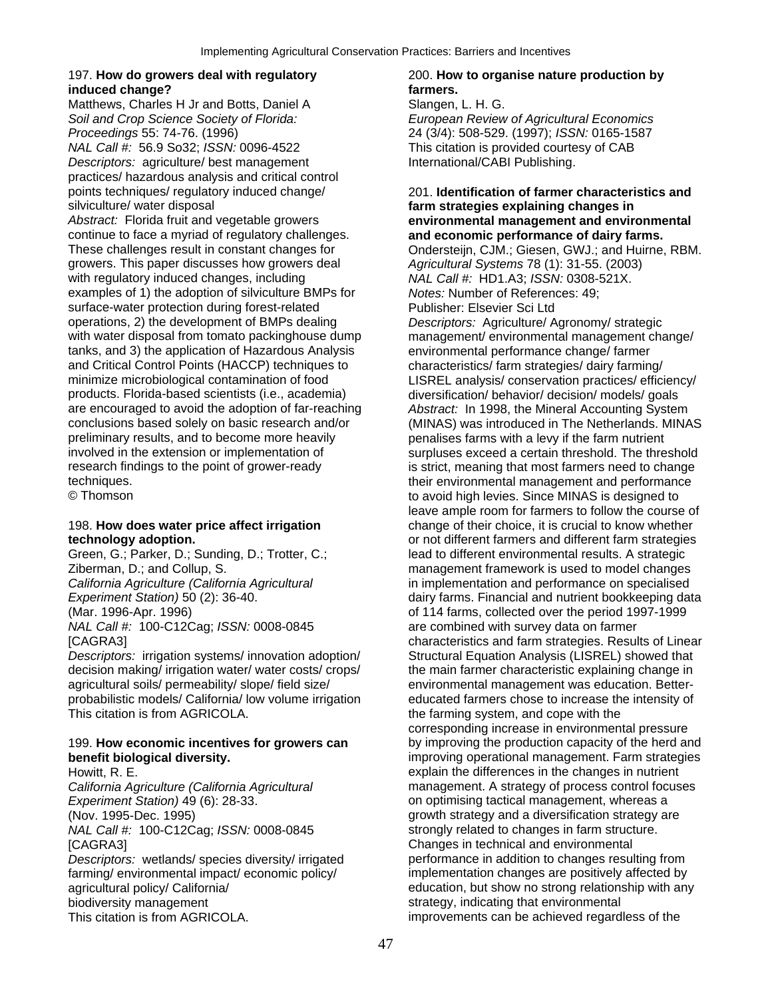### **induced change? farmers.**

Matthews, Charles H Jr and Botts, Daniel A Slangen, L. H. G.<br>Soil and Crop Science Society of Florida: European Review *Proceedings* 55: 74-76. (1996) 24 (3/4): 508-529. (1997); *ISSN:* 0165-1587 *NAL Call #:* 56.9 So32; *ISSN:* 0096-4522 This citation is provided courtesy of CAB **Descriptors: agriculture/ best management International/CABI Publishing.** practices/ hazardous analysis and critical control points techniques/ regulatory induced change/ 201. **Identification of farmer characteristics and**  silviculture/ water disposal<br>Abstract: Florida fruit and vegetable growers **farm strategies explaining changes in**<br>**environmental management and environmental** continue to face a myriad of regulatory challenges. **and economic performance of dairy farms.**  growers. This paper discusses how growers deal *Agricultural Systems* 78 (1): 31-55. (2003) with regulatory induced changes, including *NAL Call #:* HD1.A3; *ISSN:* 0308-521X. examples of 1) the adoption of silviculture BMPs for *Notes:* Number of References: 49; surface-water protection during forest-related Publisher: Elsevier Sci Ltd operations, 2) the development of BMPs dealing *Descriptors:* Agriculture/ Agronomy/ strategic tanks, and 3) the application of Hazardous Analysis environmental performance change/ farmer and Critical Control Points (HACCP) techniques to characteristics/ farm strategies/ dairy farming/ products. Florida-based scientists (i.e., academia) diversification/ behavior/ decision/ models/ goals are encouraged to avoid the adoption of far-reaching *Abstract:* In 1998, the Mineral Accounting System preliminary results, and to become more heavily penalises farms with a levy if the farm nutrient techniques. their environmental management and performance

*NAL Call #:* 100-C12Cag; *ISSN:* 0008-0845 are combined with survey data on farmer

decision making/ irrigation water/ water costs/ crops/ the main farmer characteristic explaining change in agricultural soils/ permeability/ slope/ field size/ environmental management was education. Betterprobabilistic models/ California/ low volume irrigation educated farmers chose to increase the intensity of This citation is from AGRICOLA. This citation is from AGRICOLA. This citation is from AGRICOLA.

*NAL Call #:* 100-C12Cag; *ISSN:* 0008-0845 strongly related to changes in farm structure. [CAGRA3] Changes in technical and environmental farming/ environmental impact/ economic policy/

biodiversity management<br>
This citation is from AGRICOLA.<br>
This citation is from AGRICOLA.<br>
Show that improvements can be achieved regard

# 197. **How do growers deal with regulatory** 200. **How to organise nature production by**

*Soil and Crop Science Society of Florida: European Review of Agricultural Economics*

### $environmental management and an agent can be introduced.$ Ondersteijn, CJM.; Giesen, GWJ.; and Huirne, RBM. with water disposal from tomato packinghouse dump management/ environmental management change/ minimize microbiological contamination of food LISREL analysis/ conservation practices/ efficiency/ (MINAS) was introduced in The Netherlands. MINAS involved in the extension or implementation of surpluses exceed a certain threshold. The threshold<br>
research findings to the point of grower-ready<br>
is strict. meaning that most farmers need to change is strict, meaning that most farmers need to change © Thomson to avoid high levies. Since MINAS is designed to leave ample room for farmers to follow the course of 198. **How does water price affect irrigation** change of their choice, it is crucial to know whether **technology adoption.** or not different farmers and different farm strategies Green, G.; Parker, D.; Sunding, D.; Trotter, C.; lead to different environmental results. A strategic Ziberman, D.; and Collup, S. management framework is used to model changes *California Agriculture (California Agricultural* in implementation and performance on specialised *Experiment Station)* 50 (2): 36-40. dairy farms. Financial and nutrient bookkeeping data (Mar. 1996-Apr. 1996) collected over the period 1997-1999 of 114 farms, collected over the period 1997-1999 [CAGRA3] characteristics and farm strategies. Results of Linear *Descriptors:* irrigation systems/ innovation adoption/ Structural Equation Analysis (LISREL) showed that corresponding increase in environmental pressure 199. **How economic incentives for growers can** by improving the production capacity of the herd and **benefit biological diversity. improving operational management. Farm strategies** Howitt, R. E. explain the differences in the changes in nutrient *California Agriculture (California Agricultural* management. A strategy of process control focuses *Experiment Station*) 49 (6): 28-33. *Experiment Station* 49 (6): 28-33. (Nov. 1995-Dec. 1995) growth strategy and a diversification strategy are Descriptors: wetlands/ species diversity/ irrigated performance in addition to changes resulting from<br>farming/ environmental impact/ economic policy/ integration changes are positively affected by agricultural policy/ California/ education, but show no strong relationship with any improvements can be achieved regardless of the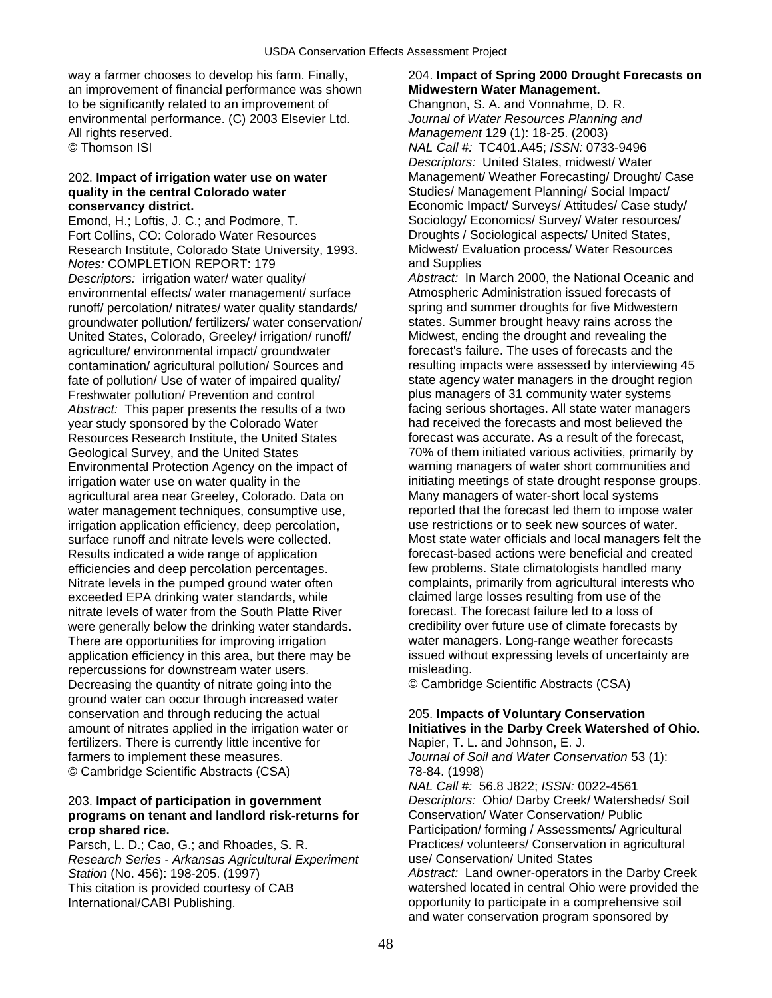way a farmer chooses to develop his farm. Finally, 204. **Impact of Spring 2000 Drought Forecasts on**  an improvement of financial performance was shown **Midwestern Water Management.**<br> **Alter Strategier Constantly related to an improvement of Changnon, S. A. and Vonnahme, D. R.** to be significantly related to an improvement of environmental performance. (C) 2003 Elsevier Ltd. *Journal of Water Resources Planning and*  All rights reserved. *Management* 129 (1): 18-25. (2003)

Emond, H.; Loftis, J. C.; and Podmore, T. Sociology/ Economics/ Survey/ Water resources/ Fort Collins, CO: Colorado Water Resources **Droughts / Sociological aspects/ United States,**<br>Research Institute. Colorado State University. 1993. Midwest/ Evaluation process/ Water Resources Research Institute, Colorado State University, 1993. *Notes:* COMPLETION REPORT: 179 and Supplies *Descriptors:* irrigation water/ water quality/ *Abstract:* In March 2000, the National Oceanic and environmental effects/ water management/ surface Atmospheric Administration issued forecasts of environmental effects/ water management/ surface runoff/ percolation/ nitrates/ water quality standards/ spring and summer droughts for five Midwestern groundwater pollution/ fertilizers/ water conservation/ states. Summer brought heavy rains across the<br>United States, Colorado, Greeley/ irrigation/ runoff/ Midwest, ending the drought and revealing the United States, Colorado, Greeley/ irrigation/ runoff/ agriculture/ environmental impact/ groundwater forecast's failure. The uses of forecasts and the contamination/ agricultural pollution/ Sources and resulting impacts were assessed by interviewing 45 fate of pollution/ Use of water of impaired quality/ state agency water managers in the drought region Freshwater pollution/ Prevention and control plus managers of 31 community water systems *Abstract:* This paper presents the results of a two facing serious shortages. All state water managers vear study sponsored by the Colorado Water had received the forecasts and most believed the year study sponsored by the Colorado Water Resources Research Institute, the United States forecast was accurate. As a result of the forecast, Geological Survey, and the United States **70%** of them initiated various activities, primarily by<br>Environmental Protection Agency on the impact of warning managers of water short communities and Environmental Protection Agency on the impact of agricultural area near Greeley, Colorado. Data on Many managers of water-short local systems water management techniques, consumptive use, reported that the forecast led them to impose water irrigation application efficiency, deep percolation, use restrictions or to seek new sources of water. Results indicated a wide range of application forecast-based actions were beneficial and created efficiencies and deep percolation percentages. few problems. State climatologists handled many Nitrate levels in the pumped ground water often complaints, primarily from agricultural interests who<br>exceeded EPA drinking water standards, while claimed large losses resulting from use of the exceeded EPA drinking water standards, while nitrate levels of water from the South Platte River forecast. The forecast failure led to a loss of were generally below the drinking water standards. Credibility over future use of climate forecasts by<br>There are opportunities for improving irrigation by vater managers. Long-range weather forecasts There are opportunities for improving irrigation application efficiency in this area, but there may be issued without expressing levels of uncertainty are repercussions for downstream water users. misleading. Decreasing the quantity of nitrate going into the ground water can occur through increased water conservation and through reducing the actual 205. **Impacts of Voluntary Conservation**  fertilizers. There is currently little incentive for Napier, T. L. and Johnson, E. J. farmers to implement these measures. *Journal of Soil and Water Conservation* 53 (1): © Cambridge Scientific Abstracts (CSA) 78-84. (1998)

### 203. **Impact of participation in government** *Descriptors:* Ohio/ Darby Creek/ Watersheds/ Soil **programs on tenant and landlord risk-returns for** Conservation/ Water Conservation/ Public<br>**crop shared rice.** Participation/ forming / Assessments/ Agric

*Research Series - Arkansas Agricultural Experiment* use/ Conservation/ United States This citation is provided courtesy of CAB watershed located in central Ohio were provided the International/CABI Publishing. The comprehensive soil opportunity to participate in a comprehensive soil

© Thomson ISI *NAL Call #:* TC401.A45; *ISSN:* 0733-9496 *Descriptors:* United States, midwest/ Water 202. **Impact of irrigation water use on water** Management/ Weather Forecasting/ Drought/ Case **quality in the central Colorado water <b>Studies**/ Management Planning/ Social Impact/ **conservancy district. Conservancy district. Example 20 Economic Impact/ Surveys/ Attitudes/ Case study/** 

irrigation water use on water quality in the initiating meetings of state drought response groups. surface runoff and nitrate levels were collected. Most state water officials and local managers felt the

# amount of nitrates applied in the irrigation water or **Initiatives in the Darby Creek Watershed of Ohio.**

*NAL Call #:* 56.8 J822; *ISSN:* 0022-4561 Participation/ forming / Assessments/ Agricultural Parsch, L. D.; Cao, G.; and Rhoades, S. R. Practices/ volunteers/ Conservation in agricultural Abstract: Land owner-operators in the Darby Creek

and water conservation program sponsored by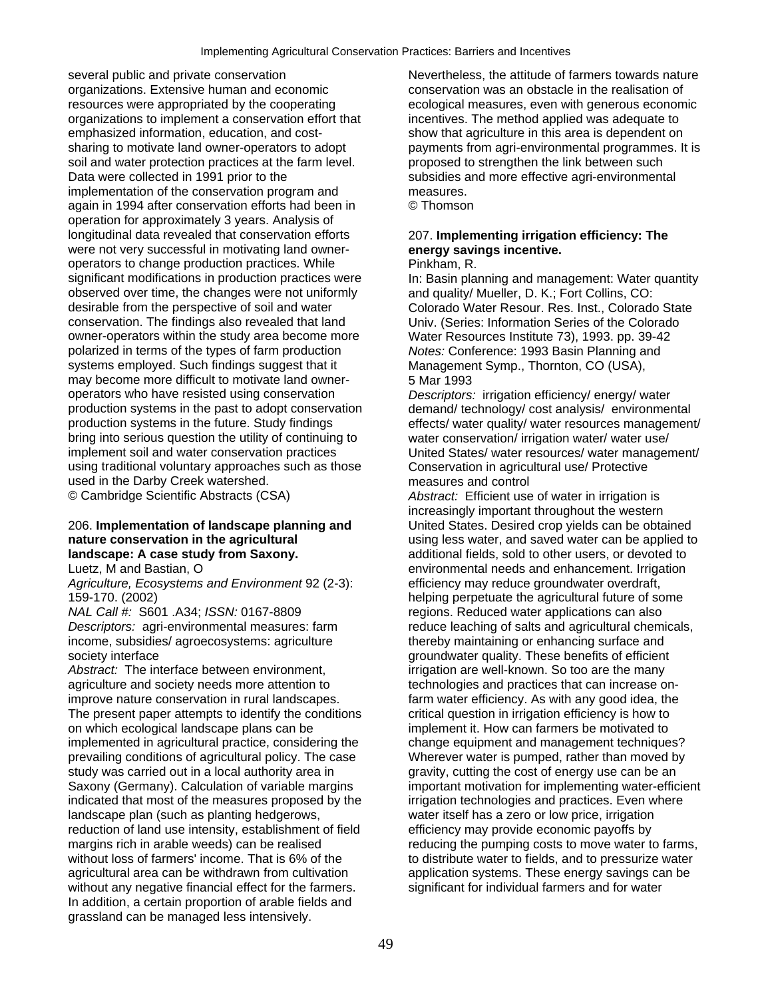several public and private conservation Nevertheless, the attitude of farmers towards nature organizations. Extensive human and economic conservation was an obstacle in the realisation of resources were appropriated by the cooperating ecological measures, even with generous economic organizations to implement a conservation effort that incentives. The method applied was adequate to emphasized information, education, and cost- show that agriculture in this area is dependent on sharing to motivate land owner-operators to adopt payments from agri-environmental programmes. It is soil and water protection practices at the farm level. proposed to strengthen the link between such Data were collected in 1991 prior to the subsidies and more effective agri-environmental implementation of the conservation program and measures. again in 1994 after conservation efforts had been in © Thomson operation for approximately 3 years. Analysis of longitudinal data revealed that conservation efforts 207. **Implementing irrigation efficiency: The**  were not very successful in motivating land owner- **energy savings incentive.**  operators to change production practices. While Pinkham, R. significant modifications in production practices were In: Basin planning and management: Water quantity observed over time, the changes were not uniformly and quality/ Mueller, D. K.; Fort Collins, CO: desirable from the perspective of soil and water Colorado Water Resour. Res. Inst., Colorado State conservation. The findings also revealed that land Univ. (Series: Information Series of the Colorado owner-operators within the study area become more Water Resources Institute 73), 1993. pp. 39-42 polarized in terms of the types of farm production *Notes:* Conference: 1993 Basin Planning and systems employed. Such findings suggest that it Management Symp., Thornton, CO (USA), may become more difficult to motivate land owner- 5 Mar 1993 operators who have resisted using conservation *Descriptors:* irrigation efficiency/ energy/ water production systems in the past to adopt conservation demand/ technology/ cost analysis/ environmental<br>production systems in the future. Study findings effects/ water quality/ water resources managemen bring into serious question the utility of continuing to water conservation/ irrigation water/ water use/ implement soil and water conservation practices United States/ water resources/ water management/ using traditional voluntary approaches such as those Conservation in agricultural use/ Protective used in the Darby Creek watershed. measures and control © Cambridge Scientific Abstracts (CSA) *Abstract:* Efficient use of water in irrigation is

*Agriculture, Ecosystems and Environment* 92 (2-3): efficiency may reduce groundwater overdraft, 159-170. (2002) helping perpetuate the agricultural future of some

*NAL Call #:* S601 .A34; *ISSN:* 0167-8809 regions. Reduced water applications can also income, subsidies/ agroecosystems: agriculture thereby maintaining or enhancing surface and society interface society interface groundwater quality. These benefits of efficient

Abstract: The interface between environment, intertaction are well-known. So too are the many agriculture and society needs more attention to technologies and practices that can increase onimprove nature conservation in rural landscapes. **Farm water efficiency.** As with any good idea, the The present paper attempts to identify the conditions critical question in irrigation efficiency is how to on which ecological landscape plans can be implement it. How can farmers be motivated to implemented in agricultural practice, considering the change equipment and management techniques? prevailing conditions of agricultural policy. The case Wherever water is pumped, rather than moved by study was carried out in a local authority area in gravity, cutting the cost of energy use can be an Saxony (Germany). Calculation of variable margins important motivation for implementing water-efficient indicated that most of the measures proposed by the irrigation technologies and practices. Even where landscape plan (such as planting hedgerows, water itself has a zero or low price, irrigation reduction of land use intensity, establishment of field efficiency may provide economic payoffs by margins rich in arable weeds) can be realised reducing the pumping costs to move water to farms, without loss of farmers' income. That is 6% of the to distribute water to fields, and to pressurize water agricultural area can be withdrawn from cultivation application systems. These energy savings can be without any negative financial effect for the farmers. significant for individual farmers and for water In addition, a certain proportion of arable fields and grassland can be managed less intensively.

effects/ water quality/ water resources management/

increasingly important throughout the western 206. **Implementation of landscape planning and** United States. Desired crop yields can be obtained **nature conservation in the agricultural in the agricultural detail of the state water, and saved water can be applied to landscape: A case study from Saxony.** additional fields, sold to other users, or devoted to Luetz, M and Bastian, O environmental needs and enhancement. Irrigation *Descriptors:* agri-environmental measures: farm reduce leaching of salts and agricultural chemicals,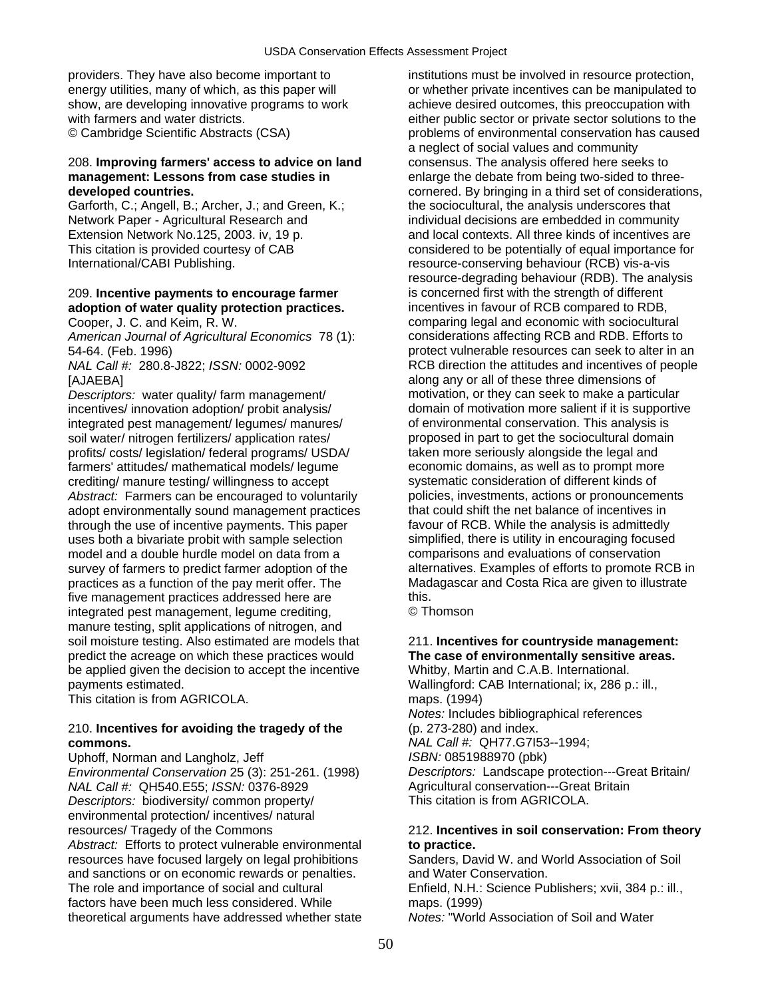providers. They have also become important to institutions must be involved in resource protection,

### 208. **Improving farmers' access to advice on land** consensus. The analysis offered here seeks to **management: Lessons from case studies in endarge the debate from being two-sided to three-**

Garforth, C.; Angell, B.; Archer, J.; and Green, K.; the sociocultural, the analysis underscores that Network Paper - Agricultural Research and individual decisions are embedded in community International/CABI Publishing. The resource-conserving behaviour (RCB) vis-a-vis

# **adoption of water quality protection practices.** incentives in favour of RCB compared to RDB,

*Descriptors:* water quality/ farm management/ incentives/ innovation adoption/ probit analysis/ domain of motivation more salient if it is supportive<br>
integrated pest management/ legumes/ manures/ of environmental conservation. This analysis is integrated pest management/ legumes/ manures/ soil water/ nitrogen fertilizers/ application rates/ proposed in part to get the sociocultural domain profits/ costs/ legislation/ federal programs/ USDA/ taken more seriously alongside the legal and<br>
farmers' attitudes/ mathematical models/ legume<br>
economic domains, as well as to prompt more farmers' attitudes/ mathematical models/ legume crediting/ manure testing/ willingness to accept systematic consideration of different kinds of *Abstract:* Farmers can be encouraged to voluntarily *policies, investments, actions or pronouncements* adopt environmentally sound management practices that could shift the net balance of incentives in adopt environmentally sound management practices through the use of incentive payments. This paper favour of RCB. While the analysis is admittedly<br>uses both a bivariate probit with sample selection simplified, there is utility in encouraging focused uses both a bivariate probit with sample selection simplified, there is utility in encouraging focuse<br>model and a double hurdle model on data from a comparisons and evaluations of conservation model and a double hurdle model on data from a survey of farmers to predict farmer adoption of the alternatives. Examples of efforts to promote RCB in practices as a function of the pay merit offer. The Madagascar and Costa Rica are given to illustrate five management practices addressed here are this. integrated pest management, legume crediting, © Thomson manure testing, split applications of nitrogen, and soil moisture testing. Also estimated are models that 211. **Incentives for countryside management:**  predict the acreage on which these practices would **The case of environmentally sensitive areas.**  be applied given the decision to accept the incentive Whitby, Martin and C.A.B. International. payments estimated. Wallingford: CAB International; ix, 286 p.: ill.,

This citation is from AGRICOLA. maps. (1994)

### 210. **Incentives for avoiding the tragedy of the** (p. 273-280) and index. **commons.** *NAL Call #:* QH77.G7I53--1994;

Uphoff, Norman and Langholz, Jeff *ISBN:* 0851988970 (pbk) *Environmental Conservation* 25 (3): 251-261. (1998) *Descriptors:* Landscape protection---Great Britain/ *NAL Call #:* QH540.E55; *ISSN:* 0376-8929 *Agricultural conservation---Great* Britain *Descriptors: biodiversity/ common property/* This citation is from AGRICOLA. *Descriptors:* biodiversity/ common property/ environmental protection/ incentives/ natural resources/ Tragedy of the Commons 212. **Incentives in soil conservation: From theory**  *Abstract:* Efforts to protect vulnerable environmental **to practice.**  resources have focused largely on legal prohibitions and sanctions or on economic rewards or penalties. and Water Conservation. The role and importance of social and cultural **Enfield, N.H.: Science Publishers**; xvii, 384 p.: ill., factors have been much less considered. While maps. (1999)<br>
theoretical arguments have addressed whether state Motes: "World Association of Soil and Water theoretical arguments have addressed whether state

energy utilities, many of which, as this paper will or whether private incentives can be manipulated to show, are developing innovative programs to work achieve desired outcomes, this preoccupation with with farmers and water districts. either public sector or private sector solutions to the © Cambridge Scientific Abstracts (CSA) problems of environmental conservation has caused a neglect of social values and community **developed countries.** cornered. By bringing in a third set of considerations, Extension Network No.125, 2003. iv, 19 p. **and local contexts.** All three kinds of incentives are This citation is provided courtesy of CAB considered to be potentially of equal importance for resource-degrading behaviour (RDB). The analysis 209. **Incentive payments to encourage farmer** is concerned first with the strength of different Cooper, J. C. and Keim, R. W. comparing legal and economic with sociocultural *American Journal of Agricultural Economics* 78 (1): considerations affecting RCB and RDB. Efforts to 54-64. (Feb. 1996) protect vulnerable resources can seek to alter in an *NAL Call #:* 280.8-J822; *ISSN:* 0002-9092 RCB direction the attitudes and incentives of people [AJAEBA]<br>
Descriptors: water quality/ farm management/ and intervalsion or they can seek to make a particular

*Notes:* Includes bibliographical references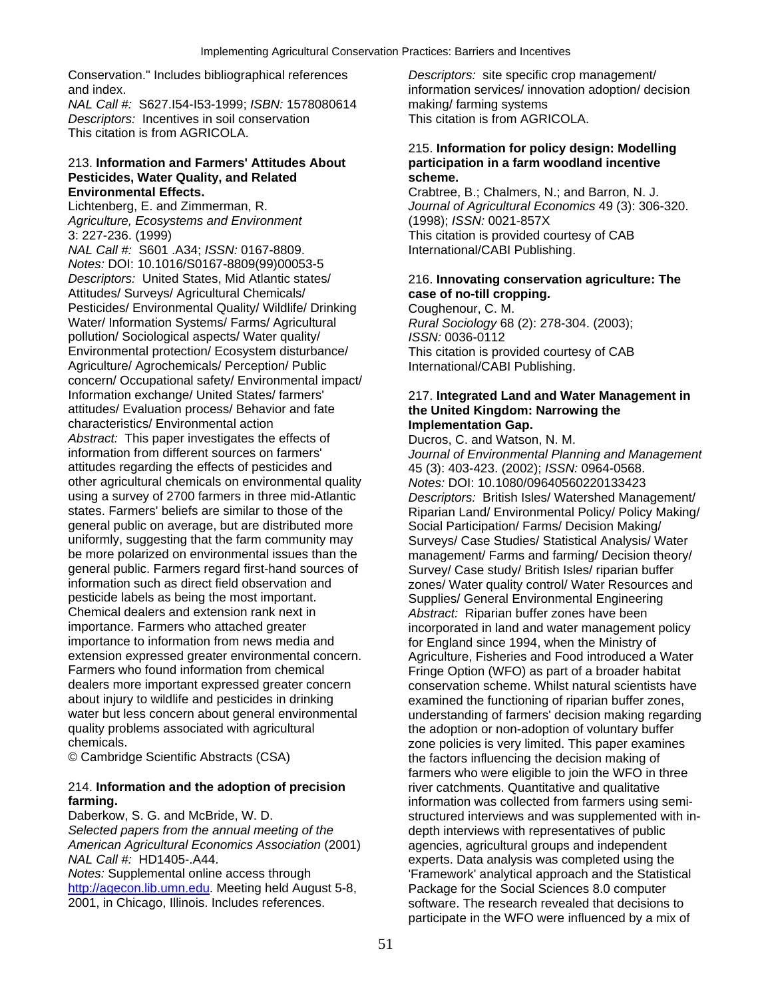Conservation." Includes bibliographical references *Descriptors:* site specific crop management/

*NAL Call #:* S627.I54-I53-1999; *ISBN:* 1578080614 making/ farming systems *Descriptors:* Incentives in soil conservation This citation is from AGRICOLA.

### 213. **Information and Farmers' Attitudes About participation in a farm woodland incentive Pesticides, Water Quality, and Related Scheme.** Scheme. **Environmental Effects.** Crabtree, B.; Chalmers, N.; and Barron, N. J.

*Agriculture, Ecosystems and Environment* (1998); *ISSN:* 0021-857X 3: 227-236. (1999) This citation is provided courtesy of CAB

*NAL Call #:* S601 .A34; *ISSN:* 0167-8809. International/CABI Publishing. *Notes:* DOI: 10.1016/S0167-8809(99)00053-5 *Descriptors:* United States, Mid Atlantic states/ 216. **Innovating conservation agriculture: The**  Attitudes/ Surveys/ Agricultural Chemicals/ **case of no-till cropping.**  Pesticides/ Environmental Quality/ Wildlife/ Drinking Coughenour, C. M. Water/ Information Systems/ Farms/ Agricultural *Rural Sociology* 68 (2): 278-304. (2003); pollution/ Sociological aspects/ Water quality/ *ISSN:* 0036-0112 Environmental protection/ Ecosystem disturbance/ This citation is provided courtesy of CAB Agriculture/ Agrochemicals/ Perception/ Public International/CABI Publishing. concern/ Occupational safety/ Environmental impact/ Information exchange/ United States/ farmers' 217. **Integrated Land and Water Management in**  attitudes/ Evaluation process/ Behavior and fate **the United Kingdom: Narrowing the**  characteristics/ Environmental action **Implementation Gap.**<br> **Abstract:** This paper investigates the effects of **Implementation Gap.** Ducros, C. and Watson, N. M. *Abstract:* This paper investigates the effects of information from different sources on farmers' attitudes regarding the effects of pesticides and 45 (3): 403-423. (2002); *ISSN:* 0964-0568. other agricultural chemicals on environmental quality *Notes:* DOI: 10.1080/09640560220133423 using a survey of 2700 farmers in three mid-Atlantic *Descriptors:* British Isles/ Watershed Management/ general public on average, but are distributed more Social Participation/ Farms/ Decision Making/<br>uniformly, suggesting that the farm community may Surveys/ Case Studies/ Statistical Analysis/ W uniformly, suggesting that the farm community may Surveys/ Case Studies/ Statistical Analysis/ Water<br>be more polarized on environmental issues than the management/ Farms and farming/ Decision theory/ general public. Farmers regard first-hand sources of Survey/ Case study/ British Isles/ riparian buffer<br>
information such as direct field observation and the sources are availity control/ Water Resources a pesticide labels as being the most important. Supplies/ General Environmental Engineering Chemical dealers and extension rank next in *Abstract:* Riparian buffer zones have been importance to information from news media and for England since 1994, when the Ministry of extension expressed greater environmental concern. <br>
Fringe Option (WFO) as part of a broader habitat<br>
Fringe Option (WFO) as part of a broader habitat Farmers who found information from chemical Fringe Option (WFO) as part of a broader habitat<br>dealers more important expressed greater concern conservation scheme. Whilst natural scientists ha dealers more important expressed greater concern conservation scheme. Whilst natural scientists have<br>about injury to wildlife and pesticides in drinking examined the functioning of riparian buffer zones. about injury to wildlife and pesticides in drinking examined the functioning of riparian buffer zones,<br>water but less concern about general environmental examined the functioning of farmers' decision making regardi water but less concern about general environmental understanding of farmers' decision making regarding<br>quality problems associated with agricultural the adoption or non-adoption of voluntary buffer quality problems associated with agricultural the adoption or non-adoption of voluntary buffer<br>chemicals. This paper examine

# 214. **Information and the adoption of precision** river catchments. Quantitative and qualitative

*Selected papers from the annual meeting of the* depth interviews with representatives of public *American Agricultural Economics Association* (2001) agencies, agricultural groups and independent

[http://agecon.lib.umn.edu](http://agecon.lib.umn.edu/). Meeting held August 5-8,<br>2001, in Chicago, Illinois. Includes references. expansion software. The research revealed that decisions

and index. information services/ innovation adoption/ decision

# 215. **Information for policy design: Modelling**

Lichtenberg, E. and Zimmerman, R. *Journal of Agricultural Economics* 49 (3): 306-320.

Journal of Environmental Planning and Management Riparian Land/ Environmental Policy/ Policy Making/ management/ Farms and farming/ Decision theory/ zones/ Water quality control/ Water Resources and incorporated in land and water management policy chemicals.<br> **Cambridge Scientific Abstracts (CSA)**  $\qquad \qquad$  zone policies is very limited. This paper examines (CSA) **and the factors** influencing the decision making of the factors influencing the decision making of farmers who were eligible to join the WFO in three **farming. information was collected from farmers using semi-** information was collected from farmers using semi-Daberkow, S. G. and McBride, W. D. Structured interviews and was supplemented with inexperts. Data analysis was completed using the *Notes:* Supplemental online access through 'Framework' analytical approach and the Statistical software. The research revealed that decisions to participate in the WFO were influenced by a mix of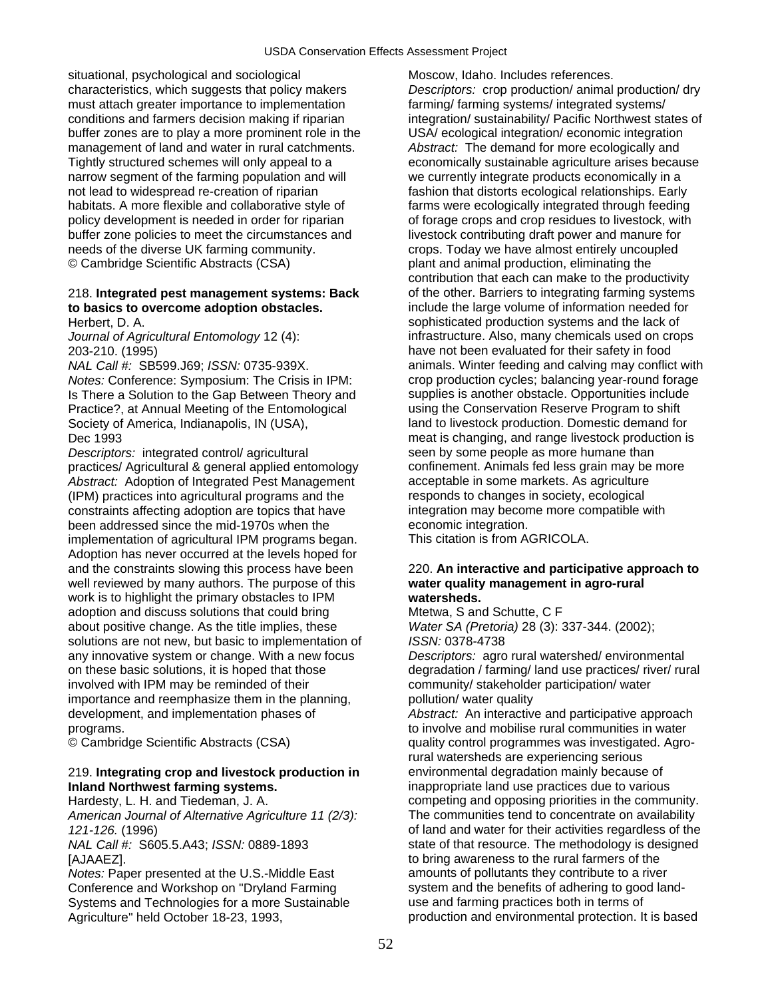situational, psychological and sociological example and Moscow, Idaho. Includes references. must attach greater importance to implementation farming/ farming systems/ integrated systems/ buffer zones are to play a more prominent role in the USA/ ecological integration/ economic integration management of land and water in rural catchments. *Abstract:* The demand for more ecologically and Tightly structured schemes will only appeal to a economically sustainable agriculture arises because narrow segment of the farming population and will we currently integrate products economically in a not lead to widespread re-creation of riparian fashion that distorts ecological relationships. Early habitats. A more flexible and collaborative style of farms were ecologically integrated through feeding policy development is needed in order for riparian of forage crops and crop residues to livestock, with buffer zone policies to meet the circumstances and livestock contributing draft power and manure for needs of the diverse UK farming community. crops. Today we have almost entirely uncoupled © Cambridge Scientific Abstracts (CSA) plant and animal production, eliminating the

# **to basics to overcome adoption obstacles.** include the large volume of information needed for

Is There a Solution to the Gap Between Theory and Practice?, at Annual Meeting of the Entomological using the Conservation Reserve Program to shift Society of America, Indianapolis, IN (USA), land to livestock production. Domestic demand for Dec 1993 meat is changing, and range livestock production is

*Descriptors:* integrated control/ agricultural seen by some people as more humane than<br>practices/ Agricultural & general applied entomology sconfinement. Animals fed less grain may be more practices/ Agricultural & general applied entomology *Abstract:* Adoption of Integrated Pest Management acceptable in some markets. As agriculture (IPM) practices into agricultural programs and the responds to changes in society, ecological<br>
constraints affecting adoption are topics that have integration may become more compatible with constraints affecting adoption are topics that have been addressed since the mid-1970s when the economic integration. implementation of agricultural IPM programs began. This citation is from AGRICOLA. Adoption has never occurred at the levels hoped for and the constraints slowing this process have been 220. **An interactive and participative approach to**  well reviewed by many authors. The purpose of this **water quality management in agro-rural watersheds watersheds** work is to highlight the primary obstacles to IPM adoption and discuss solutions that could bring Mtetwa, S and Schutte, C F about positive change. As the title implies, these *Water SA (Pretoria)* 28 (3): 337-344. (2002); solutions are not new, but basic to implementation of *ISSN:* 0378-4738 any innovative system or change. With a new focus *Descriptors:* agro rural watershed/ environmental involved with IPM may be reminded of their community/ stakeholder participation/ water importance and reemphasize them in the planning, example under pollution/ water quality development, and implementation phases of *Abstract:* An interactive and participative approach programs. to involve and mobilise rural communities in water

### 219. **Integrating crop and livestock production in** environmental degradation mainly because of **Inland Northwest farming systems. inappropriate land use practices due to various**

*American Journal of Alternative Agriculture 11 (2/3):* The communities tend to concentrate on availability

*Notes:* Paper presented at the U.S.-Middle East Conference and Workshop on "Dryland Farming system and the benefits of adhering to good land-Systems and Technologies for a more Sustainable use and farming practices both in terms of

characteristics, which suggests that policy makers *Descriptors:* crop production/ animal production/ dry conditions and farmers decision making if riparian integration/ sustainability/ Pacific Northwest states of contribution that each can make to the productivity 218. **Integrated pest management systems: Back** of the other. Barriers to integrating farming systems Herbert, D. A. sophisticated production systems and the lack of *Journal of Agricultural Entomology* 12 (4): infrastructure. Also, many chemicals used on crops 203-210. (1995) have not been evaluated for their safety in food *NAL Call #:* SB599.J69; *ISSN:* 0735-939X. animals. Winter feeding and calving may conflict with *Notes:* Conference: Symposium: The Crisis in IPM: crop production cycles; balancing year-round forage<br>Is There a Solution to the Gap Between Theory and supplies is another obstacle. Opportunities include

on these basic solutions, it is hoped that those degradation / farming/ land use practices/ river/ rural

© Cambridge Scientific Abstracts (CSA) quality control programmes was investigated. Agrorural watersheds are experiencing serious Hardesty, L. H. and Tiedeman, J. A. Competing and opposing priorities in the community. *121-126.* (1996) of land and water for their activities regardless of the *NAL Call #:* S605.5.A43; *ISSN:* 0889-1893 state of that resource. The methodology is designed [AJAAEZ].<br>Notes: Paper presented at the U.S.-Middle East manumic of pollutants they contribute to a river Agriculture" held October 18-23, 1993, production and environmental protection. It is based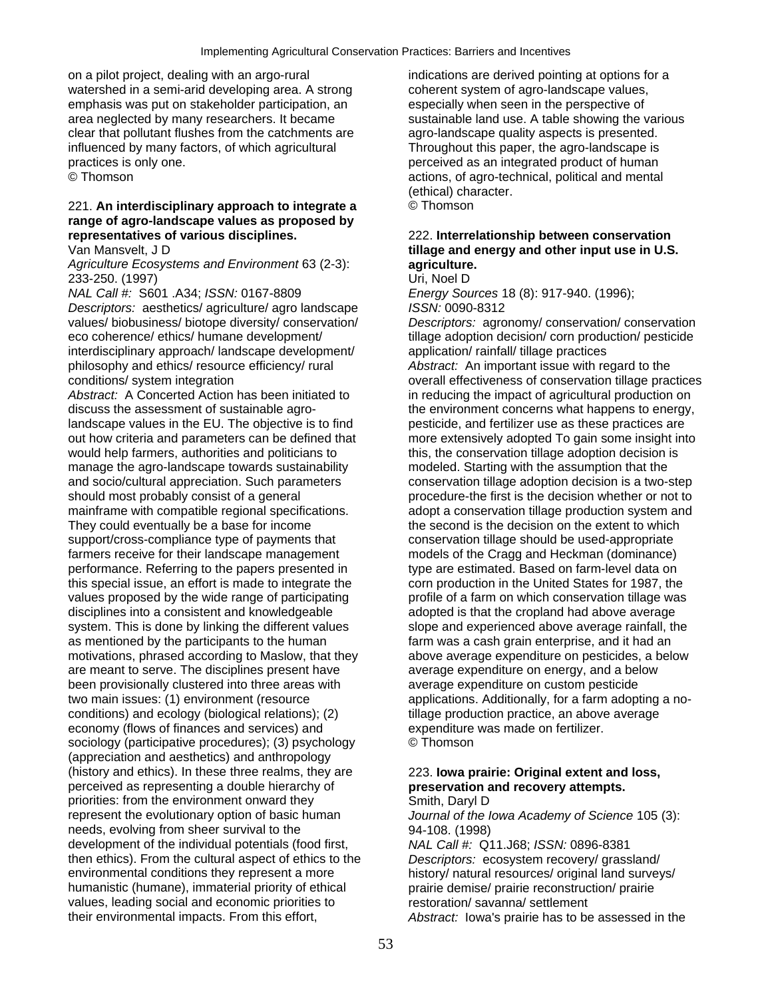on a pilot project, dealing with an argo-rural indications are derived pointing at options for a watershed in a semi-arid developing area. A strong coherent system of agro-landscape values, emphasis was put on stakeholder participation, an especially when seen in the perspective of area neglected by many researchers. It became sustainable land use. A table showing the various clear that pollutant flushes from the catchments are agro-landscape quality aspects is presented. influenced by many factors, of which agricultural Throughout this paper, the agro-landscape is practices is only one. perceived as an integrated product of human

### 221. **An interdisciplinary approach to integrate a** © Thomson **range of agro-landscape values as proposed by representatives of various disciplines.** 222. **Interrelationship between conservation**

*Agriculture Ecosystems and Environment* 63 (2-3): **agriculture.**  233-250. (1997) Uri, Noel D

*NAL Call #:* S601 .A34; *ISSN:* 0167-8809 *Energy Sources* 18 (8): 917-940. (1996); *Descriptors:* aesthetics/ agriculture/ agro landscape *ISSN:* 0090-8312 values/ biobusiness/ biotope diversity/ conservation/ *Descriptors:* agronomy/ conservation/ conservation eco coherence/ ethics/ humane development/ tillage adoption decision/ corn production/ pesticide interdisciplinary approach/ landscape development/ application/ rainfall/ tillage practices philosophy and ethics/ resource efficiency/ rural *Abstract:* An important issue with regard to the

Abstract: A Concerted Action has been initiated to in reducing the impact of agricultural production on discuss the assessment of sustainable agro- the environment concerns what happens to energy, landscape values in the EU. The objective is to find pesticide, and fertilizer use as these practices are out how criteria and parameters can be defined that more extensively adopted To gain some insight into would help farmers, authorities and politicians to this, the conservation tillage adoption decision is manage the agro-landscape towards sustainability modeled. Starting with the assumption that the and socio/cultural appreciation. Such parameters conservation tillage adoption decision is a two-step should most probably consist of a general procedure-the first is the decision whether or not to mainframe with compatible regional specifications. adopt a conservation tillage production system and They could eventually be a base for income the second is the decision on the extent to which support/cross-compliance type of payments that conservation tillage should be used-appropriate farmers receive for their landscape management models of the Cragg and Heckman (dominance) performance. Referring to the papers presented in type are estimated. Based on farm-level data on this special issue, an effort is made to integrate the corn production in the United States for 1987, the values proposed by the wide range of participating profile of a farm on which conservation tillage was disciplines into a consistent and knowledgeable and adopted is that the cropland had above average system. This is done by linking the different values slope and experienced above average rainfall, the as mentioned by the participants to the human farm was a cash grain enterprise, and it had an motivations, phrased according to Maslow, that they above average expenditure on pesticides, a below are meant to serve. The disciplines present have average expenditure on energy, and a below been provisionally clustered into three areas with average expenditure on custom pesticide two main issues: (1) environment (resource applications. Additionally, for a farm adopting a noconditions) and ecology (biological relations); (2) tillage production practice, an above average economy (flows of finances and services) and expenditure was made on fertilizer. sociology (participative procedures); (3) psychology © Thomson (appreciation and aesthetics) and anthropology (history and ethics). In these three realms, they are 223. **Iowa prairie: Original extent and loss,**  perceived as representing a double hierarchy of **preservation and recovery attempts.**  priorities: from the environment onward they Smith, Daryl D represent the evolutionary option of basic human *Journal of the Iowa Academy of Science* 105 (3): needs, evolving from sheer survival to the 94-108. (1998) development of the individual potentials (food first, *NAL Call #:* Q11.J68; *ISSN:* 0896-8381 then ethics). From the cultural aspect of ethics to the *Descriptors:* ecosystem recovery/ grassland/<br>
environmental conditions they represent a more history/ natural resources/ original land survey humanistic (humane), immaterial priority of ethical prairie demise/ prairie reconstruction/ prairie values, leading social and economic priorities to restoration/ savanna/ settlement<br>their environmental impacts. From this effort, *Abstract:* lowa's prairie has to be

© Thomson actions, of agro-technical, political and mental (ethical) character.

# Van Mansvelt, J D **tillage and energy and other input use in U.S.**

conditions/ system integration overall effectiveness of conservation tillage practices

history/ natural resources/ original land surveys/ Abstract: lowa's prairie has to be assessed in the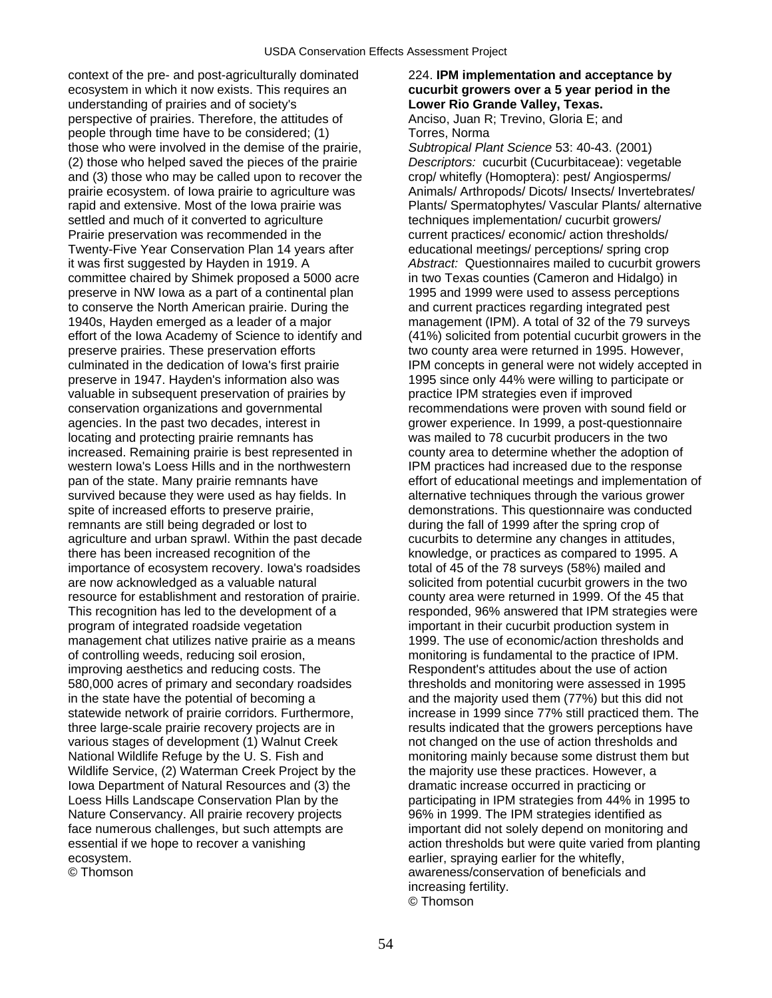context of the pre- and post-agriculturally dominated 224. **IPM implementation and acceptance by**  ecosystem in which it now exists. This requires an **cucurbit growers over a 5 year period in the**  understanding of prairies and of society's **Lower Rio Grande Valley, Texas.**  perspective of prairies. Therefore, the attitudes of people through time have to be considered; (1) Torres, Norma those who were involved in the demise of the prairie, *Subtropical Plant Science* 53: 40-43. (2001) (2) those who helped saved the pieces of the prairie *Descriptors:* cucurbit (Cucurbitaceae): vegetable and (3) those who may be called upon to recover the crop/ whitefly (Homoptera): pest/ Angiosperms/ prairie ecosystem. of Iowa prairie to agriculture was Animals/ Arthropods/ Dicots/ Insects/ Invertebrates/ rapid and extensive. Most of the Iowa prairie was Plants/ Spermatophytes/ Vascular Plants/ alternative settled and much of it converted to agriculture techniques implementation/ cucurbit growers/ Prairie preservation was recommended in the current practices/ economic/ action thresholds/ Twenty-Five Year Conservation Plan 14 years after educational meetings/ perceptions/ spring crop it was first suggested by Hayden in 1919. A *Abstract:* Questionnaires mailed to cucurbit growers committee chaired by Shimek proposed a 5000 acre preserve in NW Iowa as a part of a continental plan 1995 and 1999 were used to assess perceptions to conserve the North American prairie. During the and current practices regarding integrated pest 1940s, Hayden emerged as a leader of a major management (IPM). A total of 32 of the 79 surveys effort of the Iowa Academy of Science to identify and (41%) solicited from potential cucurbit growers in the preserve prairies. These preservation efforts two county area were returned in 1995. However, culminated in the dedication of Iowa's first prairie IPM concepts in general were not widely accepted in preserve in 1947. Hayden's information also was 1995 since only 44% were willing to participate or valuable in subsequent preservation of prairies by practice IPM strategies even if improved conservation organizations and governmental recommendations were proven with sound field or agencies. In the past two decades, interest in grower experience. In 1999, a post-questionnaire locating and protecting prairie remnants has was mailed to 78 cucurbit producers in the two increased. Remaining prairie is best represented in county area to determine whether the adoption of western Iowa's Loess Hills and in the northwestern **IPM** practices had increased due to the response pan of the state. Many prairie remnants have effort of educational meetings and implementation of survived because they were used as hay fields. In alternative techniques through the various grower spite of increased efforts to preserve prairie, example and demonstrations. This questionnaire was conducted remnants are still being degraded or lost to during the fall of 1999 after the spring crop of agriculture and urban sprawl. Within the past decade cucurbits to determine any changes in attitudes, there has been increased recognition of the knowledge, or practices as compared to 1995. A importance of ecosystem recovery. Iowa's roadsides total of 45 of the 78 surveys (58%) mailed and are now acknowledged as a valuable natural solicited from potential cucurbit growers in the two resource for establishment and restoration of prairie. county area were returned in 1999. Of the 45 that This recognition has led to the development of a responded, 96% answered that IPM strategies were program of integrated roadside vegetation important in their cucurbit production system in management chat utilizes native prairie as a means 1999. The use of economic/action thresholds and of controlling weeds, reducing soil erosion, monitoring is fundamental to the practice of IPM. improving aesthetics and reducing costs. The Respondent's attitudes about the use of action 580,000 acres of primary and secondary roadsides thresholds and monitoring were assessed in 1995 in the state have the potential of becoming a and the majority used them (77%) but this did not statewide network of prairie corridors. Furthermore, increase in 1999 since 77% still practiced them. The three large-scale prairie recovery projects are in results indicated that the growers perceptions have various stages of development (1) Walnut Creek not changed on the use of action thresholds and National Wildlife Refuge by the U. S. Fish and monitoring mainly because some distrust them but Wildlife Service, (2) Waterman Creek Project by the the majority use these practices. However, a Iowa Department of Natural Resources and (3) the dramatic increase occurred in practicing or Loess Hills Landscape Conservation Plan by the participating in IPM strategies from 44% in 1995 to Nature Conservancy. All prairie recovery projects 96% in 1999. The IPM strategies identified as face numerous challenges, but such attempts are important did not solely depend on monitoring and essential if we hope to recover a vanishing action thresholds but were quite varied from planting ecosystem. **Example 20** is the working earlier for the whitefly, earlier for the whitefly,

© Thomson awareness/conservation of beneficials and increasing fertility. © Thomson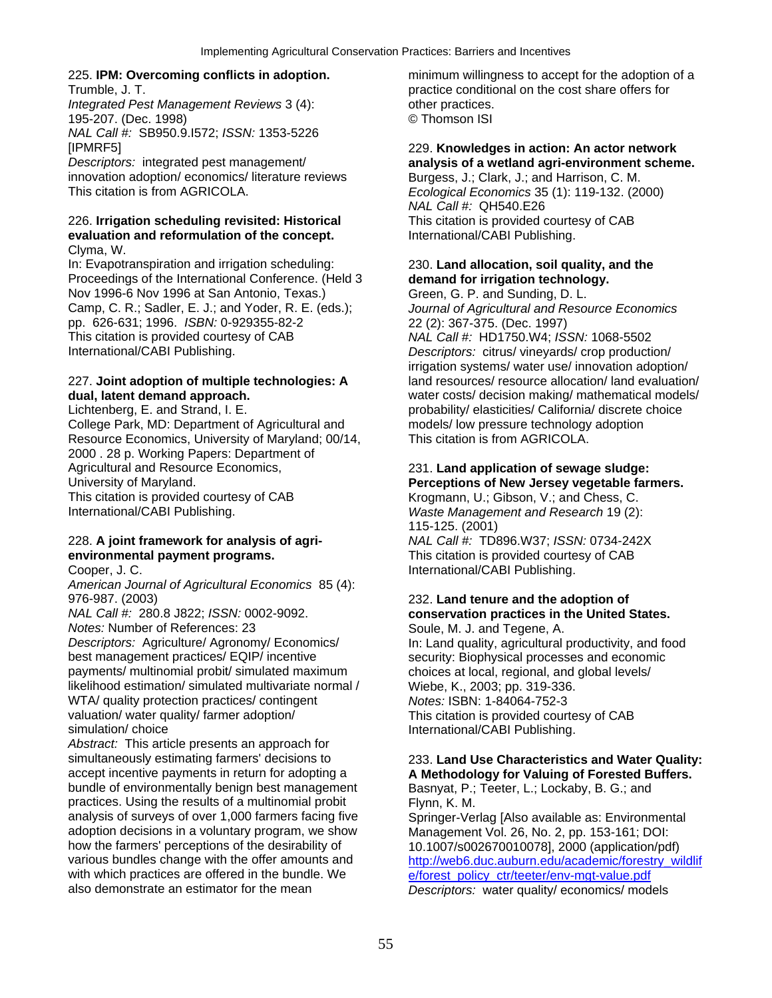*Integrated Pest Management Reviews* 3 (4): other practices.<br>195-207. (Dec. 1998) **C** Thomson ISI 195-207. (Dec. 1998) *NAL Call #:* SB950.9.I572; *ISSN:* 1353-5226 [IPMRF5] 229. **Knowledges in action: An actor network** 

innovation adoption/ economics/ literature reviews Burgess, J.; Clark, J.; and Harrison, C. M. This citation is from AGRICOLA. *Ecological Economics* 35 (1): 119-132. (2000)

### 226. **Irrigation scheduling revisited: Historical** This citation is provided courtesy of CAB **evaluation and reformulation of the concept.** International/CABI Publishing. Clyma, W.

In: Evapotranspiration and irrigation scheduling: 230. **Land allocation, soil quality, and the**  Proceedings of the International Conference. (Held 3 **demand for irrigation technology.**  Nov 1996-6 Nov 1996 at San Antonio, Texas.) Green, G. P. and Sunding, D. L.<br>Camp, C. R.; Sadler, E. J.; and Yoder, R. E. (eds.); *Journal of Agricultural and Reso* pp. 626-631; 1996. *ISBN:* 0-929355-82-2 22 (2): 367-375. (Dec. 1997) This citation is provided courtesy of CAB *NAL Call #:* HD1750.W4; *ISSN:* 1068-5502<br>International/CABI Publishing. *Descriptors: citrus/ vineyards/ crop productional* 

College Park, MD: Department of Agricultural and models/ low pressure technology adoption Resource Economics, University of Maryland; 00/14, This citation is from AGRICOLA. 2000 . 28 p. Working Papers: Department of Agricultural and Resource Economics, 231. **Land application of sewage sludge:**  University of Maryland.<br> **Perceptions of New Jersey vegetable farmers.**<br> **Perceptions of New Jersey vegetable farmers.**<br> **Perceptions of New Jersey vegetable farmers.** International/CABI Publishing. *Waste Management and Research* 19 (2):

### 228. A joint framework for analysis of agri**environmental payment programs.** This citation is provided courtesy of CAB

*American Journal of Agricultural Economics* 85 (4): 976-987. (2003) 232. **Land tenure and the adoption of** 

*Notes:* Number of References: 23 Soule, M. J. and Tegene, A.

*Descriptors:* Agriculture/ Agronomy/ Economics/ In: Land quality, agricultural productivity, and food best management practices/ EQIP/ incentive security: Biophysical processes and economic payments/ multinomial probit/ simulated maximum choices at local, regional, and global levels/ likelihood estimation/ simulated multivariate normal / Wiebe, K., 2003; pp. 319-336. WTA/ quality protection practices/ contingent *Notes:* ISBN: 1-84064-752-3 valuation/ water quality/ farmer adoption/ This citation is provided courtesy of CAB<br>
simulation/ choice<br>
International/CABI Publishing.

*Abstract:* This article presents an approach for bundle of environmentally benign best management Basnyat, P.; Teeter, L.; Lockaby, B. G.; and practices. Using the results of a multinomial probit Flynn, K. M.<br>analysis of surveys of over 1,000 farmers facing five Springer-Ver adoption decisions in a voluntary program, we show Management Vol. 26, No. 2, pp. 153-161; DOI:<br>how the farmers' perceptions of the desirability of 10.1007/s0026700100781. 2000 (application/pd how the farmers' perceptions of the desirability of 10.1007/s002670010078], 2000 (application/pdf)<br>various bundles change with the offer amounts and http://web6.duc.auburn.edu/academic/forestry with with which practices are offered in the bundle. We ether the example of the end of the policy of the mean also demonstrate an estimator for the mean perceptions: water quality/economics/mode

225. **IPM: Overcoming conflicts in adoption.** minimum willingness to accept for the adoption of a Trumble, J. T. practice conditional on the cost share offers for

### *<u>analysis of a wetland agri-environment scheme.*</u>

*NAL Call #:* QH540.E26

Journal of Agricultural and Resource Economics Descriptors: citrus/ vineyards/ crop production/ irrigation systems/ water use/ innovation adoption/ 227. **Joint adoption of multiple technologies: A** land resources/ resource allocation/ land evaluation/ **dual, latent demand approach.** water costs/ decision making/ mathematical models/ Lichtenberg, E. and Strand, I. E. probability/ elasticities/ California/ discrete choice

Krogmann, U.; Gibson, V.; and Chess, C. 115-125. (2001)<br>NAL Call #: TD896.W37; ISSN: 0734-242X Cooper, J. C. International/CABI Publishing.

# *NAL Call #:* 280.8 J822; *ISSN:* 0002-9092. **conservation practices in the United States.**

International/ CABI Publishing.

### simultaneously estimating farmers' decisions to 233. Land Use Characteristics and Water Quality:<br>
accept incentive payments in return for adopting a **A Methodology for Valuing of Forested Buffers**. A Methodology for Valuing of Forested Buffers.

Springer-Verlag [Also available as: Environmental [http://web6.duc.auburn.edu/academic/forestry\\_wildlif](http://web6.duc.auburn.edu/academic/forestry_wildlife/forest_policy_ctr/teeter/env-mgt-value.pdf) Descriptors: water quality/ economics/ models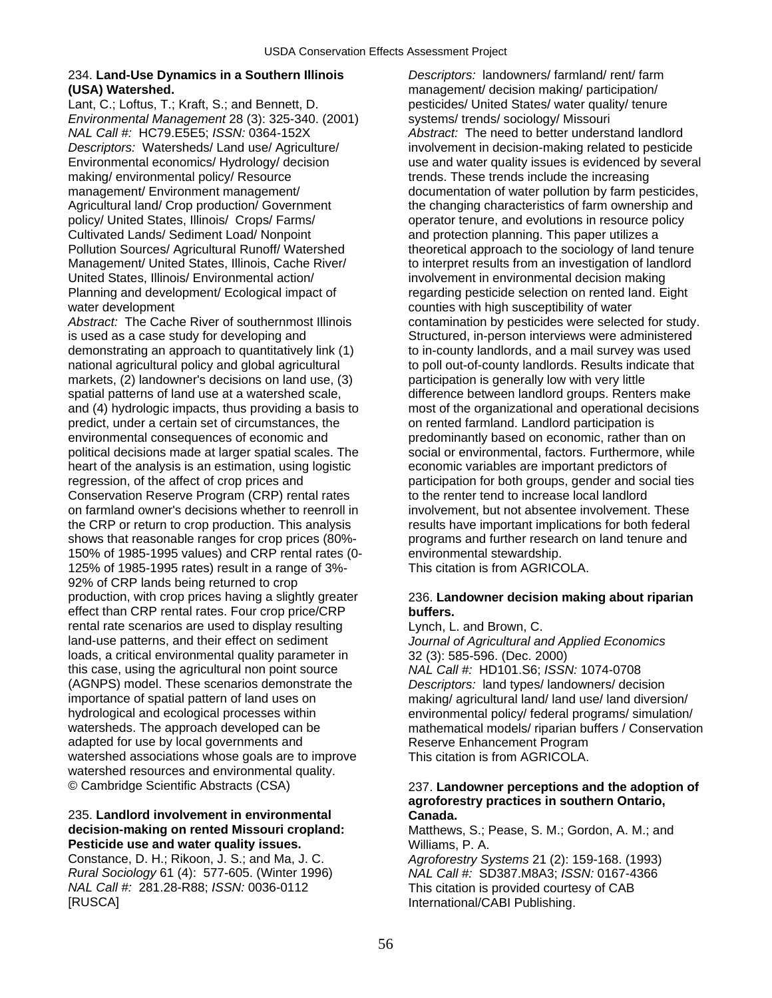### 234. **Land-Use Dynamics in a Southern Illinois** *Descriptors:* landowners/ farmland/ rent/ farm

*Environmental Management* 28 (3): 325-340. (2001) systems/ trends/ sociology/ Missouri *NAL Call #:* HC79.E5E5; *ISSN:* 0364-152X *Abstract:* The need to better understand landlord *Descriptors:* Watersheds/ Land use/ Agriculture/ involvement in decision-making related to pesticide making/ environmental policy/ Resource trends. These trends include the increasing Agricultural land/ Crop production/ Government the changing characteristics of farm ownership and policy/ United States, Illinois/ Crops/ Farms/ operator tenure, and evolutions in resource policy Cultivated Lands/ Sediment Load/ Nonpoint and protection planning. This paper utilizes a Pollution Sources/ Agricultural Runoff/ Watershed theoretical approach to the sociology of land tenure Management/ United States, Illinois, Cache River/ to interpret results from an investigation of landlord United States, Illinois/ Environmental action/ involvement in environmental decision making Planning and development/ Ecological impact of regarding pesticide selection on rented land. Eight water development counties with high susceptibility of water

*Abstract:* The Cache River of southernmost Illinois contamination by pesticides were selected for study. is used as a case study for developing and Structured, in-person interviews were administered demonstrating an approach to quantitatively link (1) to in-county landlords, and a mail survey was used national agricultural policy and global agricultural to poll out-of-county landlords. Results indicate that markets, (2) landowner's decisions on land use, (3) examination is generally low with very little spatial patterns of land use at a watershed scale, difference between landlord groups. Renters make and (4) hydrologic impacts, thus providing a basis to most of the organizational and operational decisions predict, under a certain set of circumstances, the on rented farmland. Landlord participation is environmental consequences of economic and predominantly based on economic, rather than on political decisions made at larger spatial scales. The social or environmental, factors. Furthermore, while heart of the analysis is an estimation, using logistic economic variables are important predictors of regression, of the affect of crop prices and **participation** for both groups, gender and social ties Conservation Reserve Program (CRP) rental rates to the renter tend to increase local landlord on farmland owner's decisions whether to reenroll in involvement, but not absentee involvement. These the CRP or return to crop production. This analysis results have important implications for both federal shows that reasonable ranges for crop prices (80%- programs and further research on land tenure and 150% of 1985-1995 values) and CRP rental rates (0- environmental stewardship. 125% of 1985-1995 rates) result in a range of 3%- This citation is from AGRICOLA. 92% of CRP lands being returned to crop production, with crop prices having a slightly greater 236. **Landowner decision making about riparian**  effect than CRP rental rates. Four crop price/CRP **buffers.**  rental rate scenarios are used to display resulting Lynch, L. and Brown, C.<br>
land-use patterns, and their effect on sediment *Journal of Agricultural ar* loads, a critical environmental quality parameter in 32 (3): 585-596. (Dec. 2000) this case, using the agricultural non point source *NAL Call #:* HD101.S6; *ISSN:* 1074-0708 (AGNPS) model. These scenarios demonstrate the *Descriptors:* land types/ landowners/ decision importance of spatial pattern of land uses on making/ agricultural land/ land use/ land diversion/ hydrological and ecological processes within environmental policy/ federal programs/ simulation/<br>watersheds. The approach developed can be environmentical models/ riparian buffers / Conservation adapted for use by local governments and Theorem Reserve Enhancement Program watershed associations whose goals are to improve This citation is from AGRICOLA. watershed resources and environmental quality. © Cambridge Scientific Abstracts (CSA) 237. **Landowner perceptions and the adoption of** 

### 235. **Landlord involvement in environmental Canada. decision-making on rented Missouri cropland:** Matthews, S.; Pease, S. M.; Gordon, A. M.; and **Pesticide use and water quality issues.** Williams, P. A.

Constance, D. H.; Rikoon, J. S.; and Ma, J. C. *Agroforestry Systems* 21 (2): 159-168. (1993) *Rural Sociology* 61 (4): 577-605. (Winter 1996) *NAL Call #:* 281.28-R88; *ISSN:* 0036-0112 This citation is provided courtesy of CAB [RUSCA] International/CABI Publishing.

**(USA) Watershed.** management/ decision making/ participation/ pesticides/ United States/ water quality/ tenure Environmental economics/ Hydrology/ decision use and water quality issues is evidenced by several management/ Environment management/ documentation of water pollution by farm pesticides,

# Journal of Agricultural and Applied Economics mathematical models/ riparian buffers / Conservation

# **agroforestry practices in southern Ontario,**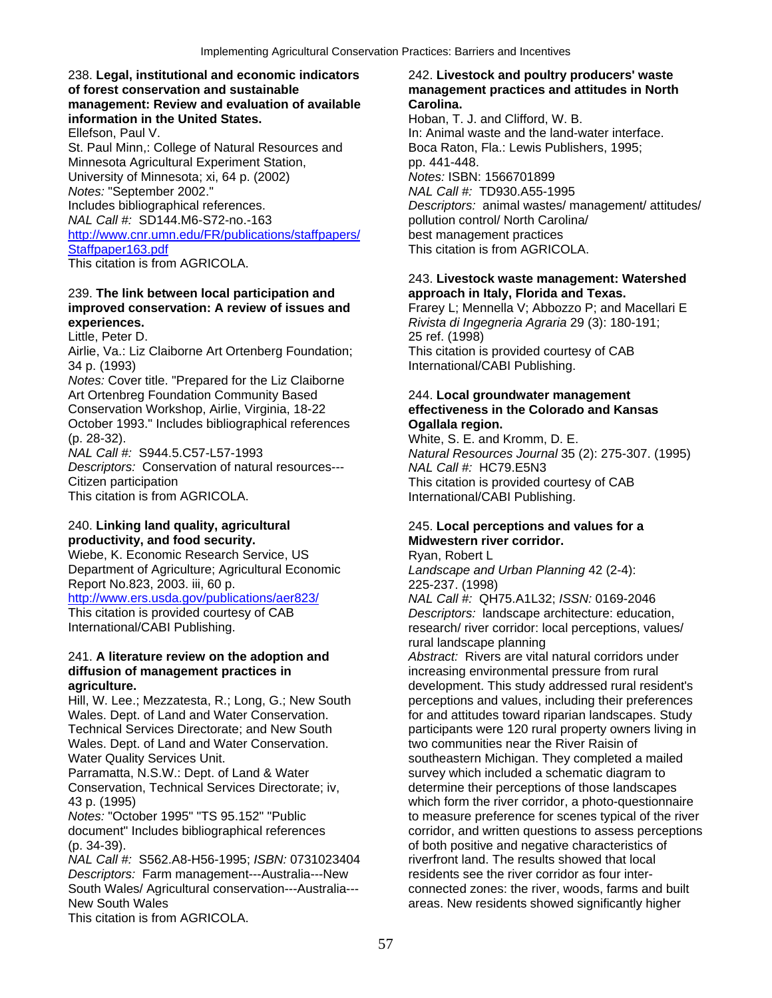### 238. **Legal, institutional and economic indicators** 242. **Livestock and poultry producers' waste of forest conservation and sustainable management practices and attitudes in North**  management: Review and evaluation of available **Carolina.**<br> **information in the United States. Carolina Communication**, T. J. and Clifford, W. B. **information in the United States.**

St. Paul Minn,: College of Natural Resources and Minnesota Agricultural Experiment Station, pp. 441-448. University of Minnesota; xi, 64 p. (2002) *Notes:* ISBN: 1566701899 *Notes:* "September 2002." *NAL Call #:* TD930.A55-1995 *NAL Call #:* SD144.M6-S72-no.-163 pollution control/ North Carolina/ [http://www.cnr.umn.edu/FR/publications/staffpapers/](http://www.cnr.umn.edu/FR/publications/staffpapers/Staffpaper163.pdf) best management practices [Staffpaper163.pdf](http://www.cnr.umn.edu/FR/publications/staffpapers/Staffpaper163.pdf) This citation is from AGRICOLA.

This citation is from AGRICOLA.

### 239. **The link between local participation and approach in Italy, Florida and Texas. improved conservation: A review of issues and Frarey L; Mennella V; Abbozzo P; and Macellari E experiences.** *Rivista di Ingegneria Agraria* 29 (3): 180-191;

Little, Peter D. 25 ref. (1998)

Airlie, Va.: Liz Claiborne Art Ortenberg Foundation; This citation is provided courtesy of CAB 34 p. (1993) International/CABI Publishing.

*Notes:* Cover title. "Prepared for the Liz Claiborne Art Ortenbreg Foundation Community Based 244. **Local groundwater management**  Conservation Workshop, Airlie, Virginia, 18-22 **effectiveness in the Colorado and Kansas**  October 1993." Includes bibliographical references **Ogallala region.** (p. 28-32). White, S. E. and Kromm, D. E.

*Descriptors:* Conservation of natural resources--- *NAL Call #:* HC79.E5N3 This citation is from AGRICOLA. International/CABI Publishing.

# productivity, and food security.

Wiebe, K. Economic Research Service, US Ryan, Robert L Department of Agriculture; Agricultural Economic *Landscape and Urban Planning* 42 (2-4): Report No.823, 2003. iii, 60 p. 225-237. (1998)

# **diffusion of management practices in** increasing environmental pressure from rural

Wales. Dept. of Land and Water Conservation. The two communities near the River Raisin of Water Quality Services Unit. Subsetern Michigan. They completed a mailed water of the southeastern Michigan. They completed a mailed

Parramatta, N.S.W.: Dept. of Land & Water survey which included a schematic diagram to Conservation, Technical Services Directorate; iv, determine their perceptions of those landscapes

*NAL Call #: S562.A8-H56-1995; <i>ISBN: 0731023404 Descriptors:* Farm management---Australia---New residents see the river corridor as four inter-South Wales/ Agricultural conservation---Australia--- connected zones: the river, woods, farms and built

This citation is from AGRICOLA.

Ellefson, Paul V.<br>St. Paul Minn.: College of Natural Resources and **In: Animal waste and the land-water interface.**<br>Boca Raton. Fla.: Lewis Publishers. 1995: Includes bibliographical references. *Descriptors:* animal wastes/ management/ attitudes/

### 243. **Livestock waste management: Watershed**

*NAL Call #:* S944.5.C57-L57-1993 *Natural Resources Journal* 35 (2): 275-307. (1995) This citation is provided courtesy of CAB

# 240. **Linking land quality, agricultural** 245. **Local perceptions and values for a**

<http://www.ers.usda.gov/publications/aer823/> *NAL Call #:* QH75.A1L32; *ISSN:* 0169-2046 This citation is provided courtesy of CAB *Descriptors:* landscape architecture: education, research/ river corridor: local perceptions, values/ rural landscape planning

241. **A literature review on the adoption and** *Abstract:* Rivers are vital natural corridors under **agriculture.** development. This study addressed rural resident's Hill, W. Lee.; Mezzatesta, R.; Long, G.; New South perceptions and values, including their preferences Wales. Dept. of Land and Water Conservation. **For and attitudes toward riparian landscapes. Study** Technical Services Directorate; and New South participants were 120 rural property owners living in 43 p. (1995) which form the river corridor, a photo-questionnaire *Notes:* "October 1995" "TS 95.152" "Public to measure preference for scenes typical of the river document" Includes bibliographical references corridor, and written questions to assess perceptions (p. 34-39).<br>
MAL Call #: S562.A8-H56-1995: ISBN: 0731023404 of both positive and negative characteristics of<br>
NAL Call #: S562.A8-H56-1995: ISBN: 0731023404 riverfront land. The results showed that local areas. New residents showed significantly higher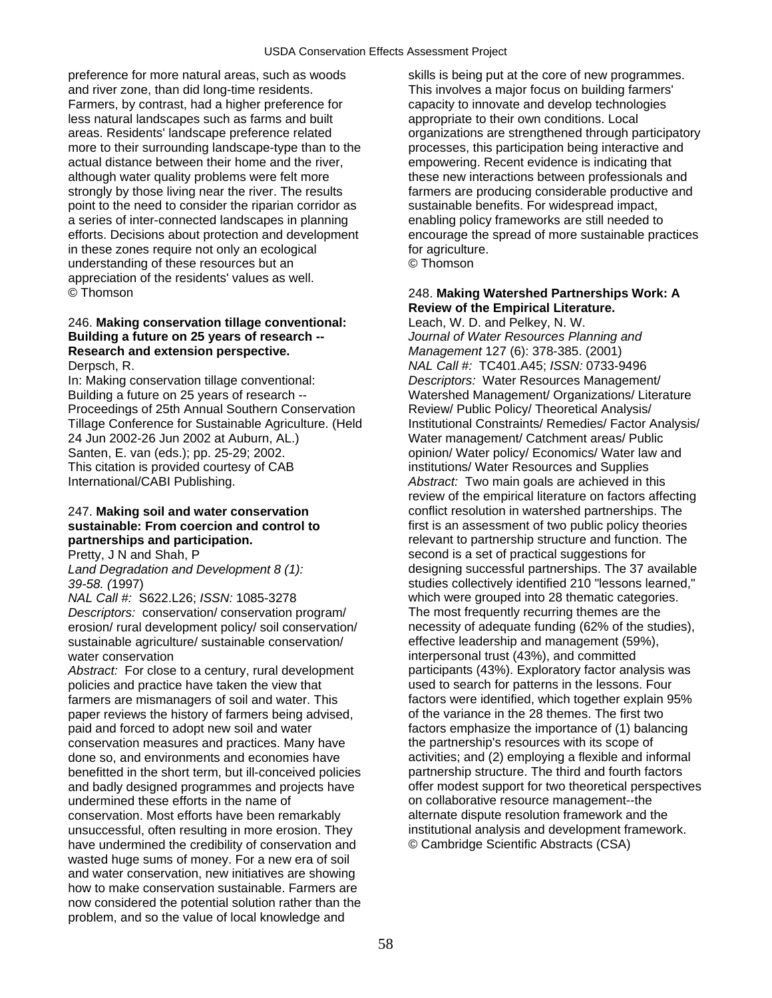preference for more natural areas, such as woods skills is being put at the core of new programmes. and river zone, than did long-time residents. This involves a major focus on building farmers' Farmers, by contrast, had a higher preference for capacity to innovate and develop technologies less natural landscapes such as farms and built appropriate to their own conditions. Local more to their surrounding landscape-type than to the processes, this participation being interactive and actual distance between their home and the river, empowering. Recent evidence is indicating that although water quality problems were felt more these new interactions between professionals and strongly by those living near the river. The results farmers are producing considerable productive and point to the need to consider the riparian corridor as sustainable benefits. For widespread impact, a series of inter-connected landscapes in planning enabling policy frameworks are still needed to efforts. Decisions about protection and development encourage the spread of more sustainable practices in these zones require not only an ecological for agriculture. understanding of these resources but an © Thomson appreciation of the residents' values as well. © Thomson 248. **Making Watershed Partnerships Work: A** 

### 246. **Making conservation tillage conventional:** Leach, W. D. and Pelkey, N. W. **Building a future on 25 years of research --** *Journal of Water Resources Planning and*  **Research and extension perspective.** *Management* 127 (6): 378-385. (2001) Derpsch, R. *NAL Call #:* TC401.A45; *ISSN:* 0733-9496

In: Making conservation tillage conventional: *Descriptors:* Water Resources Management/ Building a future on 25 years of research -- Watershed Management/ Organizations/ Literature Proceedings of 25th Annual Southern Conservation Review/ Public Policy/ Theoretical Analysis/ Tillage Conference for Sustainable Agriculture. (Held Institutional Constraints/ Remedies/ Factor Analysis/ 24 Jun 2002-26 Jun 2002 at Auburn, AL.) Water management/ Catchment areas/ Public Santen, E. van (eds.); pp. 25-29; 2002. **Canadian and intervalse opinion**/ Water policy/ Economics/ Water law and This citation is provided courtesy of CAB institutions/ Water Resources and Supplies International/CABI Publishing. *Abstract:* Two main goals are achieved in this

*NAL Call #:* S622.L26; *ISSN:* 1085-3278 which were grouped into 28 thematic categories. *Descriptors:* conservation/ conservation program/ The most frequently recurring themes are the erosion/ rural development policy/ soil conservation/ necessity of adequate funding (62% of the studies), sustainable agriculture/ sustainable conservation/ effective leadership and management (59%), water conservation interpersonal trust (43%), and committed

Abstract: For close to a century, rural development participants (43%). Exploratory factor analysis was policies and practice have taken the view that used to search for patterns in the lessons. Four<br>
farmers are mismanagers of soil and water. This factors were identified, which together explain 95% farmers are mismanagers of soil and water. This factors were identified, which together explain paper reviews the history of farmers being advised. of the variance in the 28 themes. The first two paper reviews the history of farmers being advised, paid and forced to adopt new soil and water factors emphasize the importance of (1) balancing<br>conservation measures and practices. Many have the partnership's resources with its scope of conservation measures and practices. Many have done so, and environments and economies have activities; and (2) employing a flexible and informal and badly designed programmes and projects have undermined these efforts in the name of on collaborative resource management--the conservation. Most efforts have been remarkably alternate dispute resolution framework and the unsuccessful, often resulting in more erosion. They institutional analysis and development framework. have undermined the credibility of conservation and  $\bullet$  Cambridge Scientific Abstracts (CSA) wasted huge sums of money. For a new era of soil and water conservation, new initiatives are showing how to make conservation sustainable. Farmers are now considered the potential solution rather than the problem, and so the value of local knowledge and

areas. Residents' landscape preference related organizations are strengthened through participatory

# **Review of the Empirical Literature.**

review of the empirical literature on factors affecting 247. **Making soil and water conservation** conflict resolution in watershed partnerships. The **sustainable: From coercion and control to** first is an assessment of two public policy theories **partnerships and participation.** *relevant to partnership structure and function.* **The** Pretty, J N and Shah, P second is a set of practical suggestions for *Land Degradation and Development 8 (1):* designing successful partnerships. The 37 available *39-58. (*1997) studies collectively identified 210 "lessons learned," benefitted in the short term, but ill-conceived policies expart partnership structure. The third and fourth factors and badly designed programmes and projects have offer modest support for two theoretical perspectives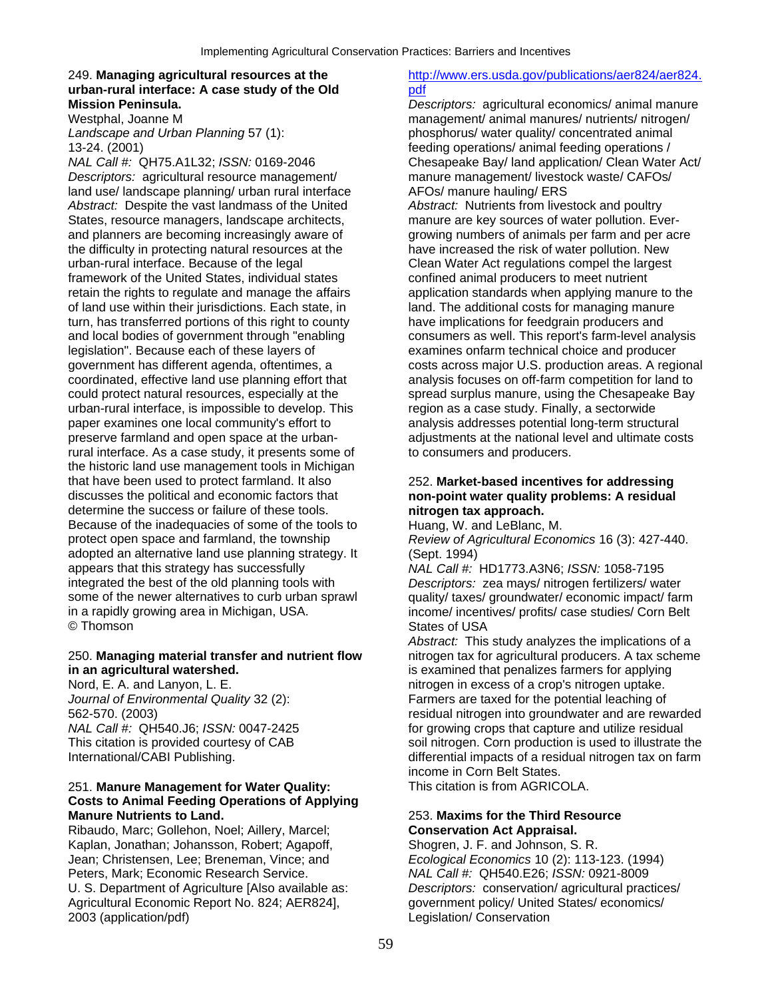# **urban-rural interface: A case study of the Old** [pdf](http://www.ers.usda.gov/publications/aer824/aer824.pdf)

*Descriptors:* agricultural resource management/ manure management/ livestock waste/ CAFOs/ land use/ landscape planning/ urban rural interface AFOs/ manure hauling/ ERS *Abstract:* Despite the vast landmass of the United *Abstract:* Nutrients from livestock and poultry States, resource managers, landscape architects, manure are key sources of water pollution. Everand planners are becoming increasingly aware of growing numbers of animals per farm and per acre the difficulty in protecting natural resources at the have increased the risk of water pollution. New urban-rural interface. Because of the legal Clean Water Act regulations compel the largest framework of the United States, individual states confined animal producers to meet nutrient retain the rights to regulate and manage the affairs application standards when applying manure to the of land use within their jurisdictions. Each state, in land. The additional costs for managing manure turn, has transferred portions of this right to county have implications for feedgrain producers and and local bodies of government through "enabling consumers as well. This report's farm-level analysis legislation". Because each of these layers of examines onfarm technical choice and producer coordinated, effective land use planning effort that analysis focuses on off-farm competition for land to could protect natural resources, especially at the spread surplus manure, using the Chesapeake Bay urban-rural interface, is impossible to develop. This region as a case study. Finally, a sectorwide paper examines one local community's effort to analysis addresses potential long-term structural preserve farmland and open space at the urban- adjustments at the national level and ultimate costs rural interface. As a case study, it presents some of to consumers and producers. the historic land use management tools in Michigan that have been used to protect farmland. It also 252. **Market-based incentives for addressing**  discusses the political and economic factors that **non-point water quality problems: A residual**  determine the success or failure of these tools. **nitrogen tax approach.**  Because of the inadequacies of some of the tools to Huang, W. and LeBlanc, M. protect open space and farmland, the township *Review of Agricultural Economics* 16 (3): 427-440. adopted an alternative land use planning strategy. It (Sept. 1994) appears that this strategy has successfully *NAL Call #:* HD1773.A3N6; *ISSN:* 1058-7195 integrated the best of the old planning tools with *Descriptors:* zea mays/ nitrogen fertilizers/ water in a rapidly growing area in Michigan, USA. income/ income/ incentives/ profits/ case studies/ Corn Belt © Thomson States of USA

### 250. **Managing material transfer and nutrient flow** nitrogen tax for agricultural producers. A tax scheme **in an agricultural watershed. is examined that penalizes farmers for applying**

### 251. **Manure Management for Water Quality:** This citation is from AGRICOLA. **Costs to Animal Feeding Operations of Applying Manure Nutrients to Land.** 253. **Maxims for the Third Resource**

Ribaudo, Marc; Gollehon, Noel; Aillery, Marcel; **Conservation Act Appraisal.**  Kaplan, Jonathan; Johansson, Robert; Agapoff, Shogren, J. F. and Johnson, S. R. Jean; Christensen, Lee; Breneman, Vince; and *Ecological Economics* 10 (2): 113-123. (1994) Peters, Mark; Economic Research Service. *NAL Call #:* QH540.E26; *ISSN:* 0921-8009 U. S. Department of Agriculture [Also available as: *Descriptors:* conservation/ agricultural practices/ Agricultural Economic Report No. 824; AER824], government policy/ United States/ economics/ 2003 (application/pdf) Legislation/ Conservation

### 249. **Managing agricultural resources at the** [http://www.ers.usda.gov/publications/aer824/aer824.](http://www.ers.usda.gov/publications/aer824/aer824.pdf)

**Mission Peninsula.** *Descriptors:* agricultural economics/ animal manure Westphal, Joanne M management/ animal manures/ nutrients/ nitrogen/ *Landscape and Urban Planning* 57 (1): phosphorus/ water quality/ concentrated animal 13-24. (2001) feeding operations/ animal feeding operations / *NAL Call #:* QH75.A1L32; *ISSN:* 0169-2046 Chesapeake Bay/ land application/ Clean Water Act/ government has different agenda, oftentimes, a costs across major U.S. production areas. A regional

quality/ taxes/ groundwater/ economic impact/ farm

*Abstract:* This study analyzes the implications of a Nord, E. A. and Lanyon, L. E. nitrogen in excess of a crop's nitrogen uptake. *Journal of Environmental Quality* 32 (2): Farmers are taxed for the potential leaching of 562-570. (2003) residual nitrogen into groundwater and are rewarded *NAL Call #:* QH540.J6; *ISSN:* 0047-2425 for growing crops that capture and utilize residual This citation is provided courtesy of CAB soil nitrogen. Corn production is used to illustrate the International/CABI Publishing. The same of a residual impacts of a residual nitrogen tax on farm income in Corn Belt States.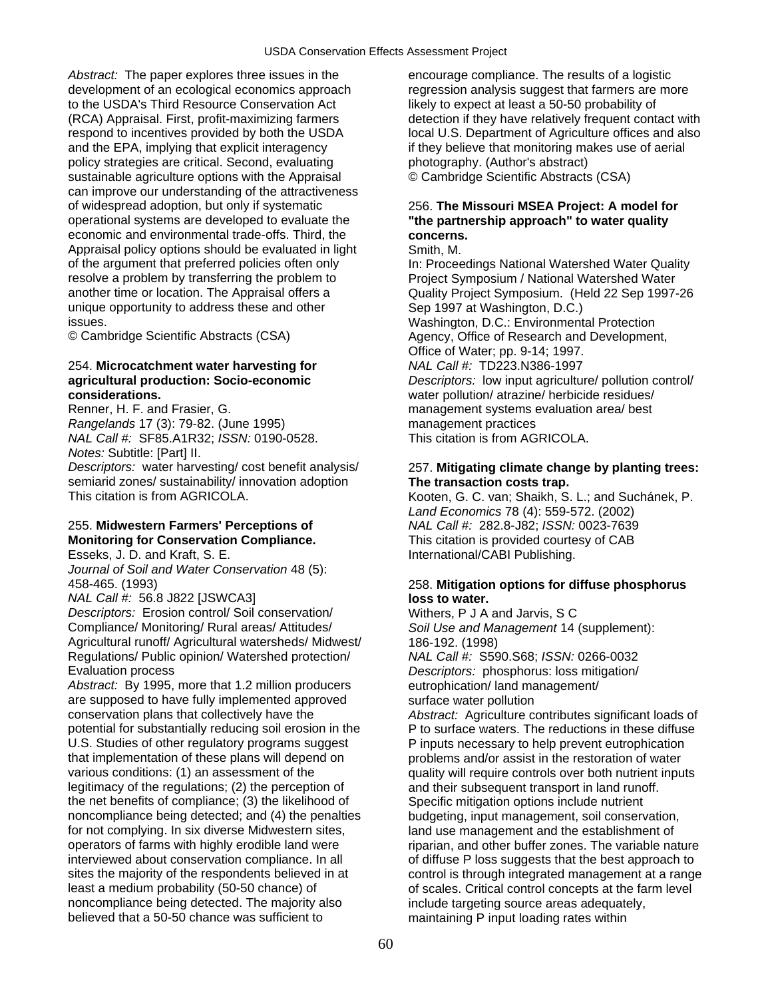Abstract: The paper explores three issues in the encourage compliance. The results of a logistic development of an ecological economics approach regression analysis suggest that farmers are more to the USDA's Third Resource Conservation Act likely to expect at least a 50-50 probability of (RCA) Appraisal. First, profit-maximizing farmers detection if they have relatively frequent contact with and the EPA, implying that explicit interagency if they believe that monitoring makes use of aerial policy strategies are critical. Second, evaluating photography. (Author's abstract) sustainable agriculture options with the Appraisal © Cambridge Scientific Abstracts (CSA) can improve our understanding of the attractiveness of widespread adoption, but only if systematic 256. **The Missouri MSEA Project: A model for**  operational systems are developed to evaluate the **"the partnership approach" to water quality**  economic and environmental trade-offs. Third, the **concerns.** Appraisal policy options should be evaluated in light Smith, M.<br>of the argument that preferred policies often only In: Procee resolve a problem by transferring the problem to example of Project Symposium / National Watershed Water<br>
another time or location. The Appraisal offers a Quality Project Symposium. (Held 22 Sep 1997) unique opportunity to address these and other Sep 1997 at Washington, D.C.) issues. Washington, D.C.: Environmental Protection

### 254. **Microcatchment water harvesting for** *NAL Call #:* TD223.N386-1997 **considerations.** water pollution/ atrazine/ herbicide residues/

Renner, H. F. and Frasier, G. management systems evaluation area/ best *Rangelands* 17 (3): 79-82. (June 1995) management practices *NAL Call #:* SF85.A1R32; *ISSN:* 0190-0528. This citation is from AGRICOLA. *Notes:* Subtitle: [Part] II. *Descriptors:* water harvesting/ cost benefit analysis/ 257. **Mitigating climate change by planting trees:**  semiarid zones/ sustainability/ innovation adoption **The transaction costs trap.**  This citation is from AGRICOLA. Kooten, G. C. van; Shaikh, S. L.; and Suchánek, P.

### 255. Midwestern Farmers' Perceptions of **Monitoring for Conservation Compliance.** This citation is provided courtesy of CAB

*Journal of Soil and Water Conservation* 48 (5):

*NAL Call #:* 56.8 J822 [JSWCA3] **loss to water.** 

*Descriptors:* Erosion control/ Soil conservation/ Withers, P J A and Jarvis, S C Compliance/ Monitoring/ Rural areas/ Attitudes/ *Soil Use and Management* 14 (supplement): Agricultural runoff/ Agricultural watersheds/ Midwest/ 186-192. (1998) Regulations/ Public opinion/ Watershed protection/ *NAL Call #:* S590.S68; *ISSN:* 0266-0032 Evaluation process *Descriptors:* phosphorus: loss mitigation/

*Abstract:* By 1995, more that 1.2 million producers eutrophication/ land management/ are supposed to have fully implemented approved surface water pollution<br>conservation plans that collectively have the *Abstract:* Agriculture conservation potential for substantially reducing soil erosion in the P to surface waters. The reductions in these diffuse U.S. Studies of other regulatory programs suggest P inputs necessary to help prevent eutrophication that implementation of these plans will depend on problems and/or assist in the restoration of water various conditions: (1) an assessment of the quality will require controls over both nutrient inputs legitimacy of the regulations; (2) the perception of and their subsequent transport in land runoff. the net benefits of compliance; (3) the likelihood of Specific mitigation options include nutrient noncompliance being detected; and (4) the penalties budgeting, input management, soil conservation, for not complying. In six diverse Midwestern sites, land use management and the establishment of operators of farms with highly erodible land were riparian, and other buffer zones. The variable na operators of farms with highly erodible land were riparian, and other buffer zones. The variable nature<br>interviewed about conservation compliance. In all of diffuse P loss suggests that the best approach to sites the majority of the respondents believed in at control is through integrated management at a range<br>least a medium probability (50-50 chance) of control is through integrated management at a range noncompliance being detected. The majority also include targeting source areas adequately, believed that a 50-50 chance was sufficient to maintaining P input loading rates within

respond to incentives provided by both the USDA local U.S. Department of Agriculture offices and also

In: Proceedings National Watershed Water Quality Quality Project Symposium. (Held 22 Sep 1997-26 © Cambridge Scientific Abstracts (CSA) Agency, Office of Research and Development, Office of Water; pp. 9-14; 1997. **agricultural production: Socio-economic** *Descriptors:* low input agriculture/ pollution control/

*Land Economics* 78 (4): 559-572. (2002) Esseks, J. D. and Kraft, S. E. **International** Esseks, J. D. and Kraft, S. E.

# 458-465. (1993) 258. **Mitigation options for diffuse phosphorus**

Abstract: Agriculture contributes significant loads of of diffuse P loss suggests that the best approach to of scales. Critical control concepts at the farm level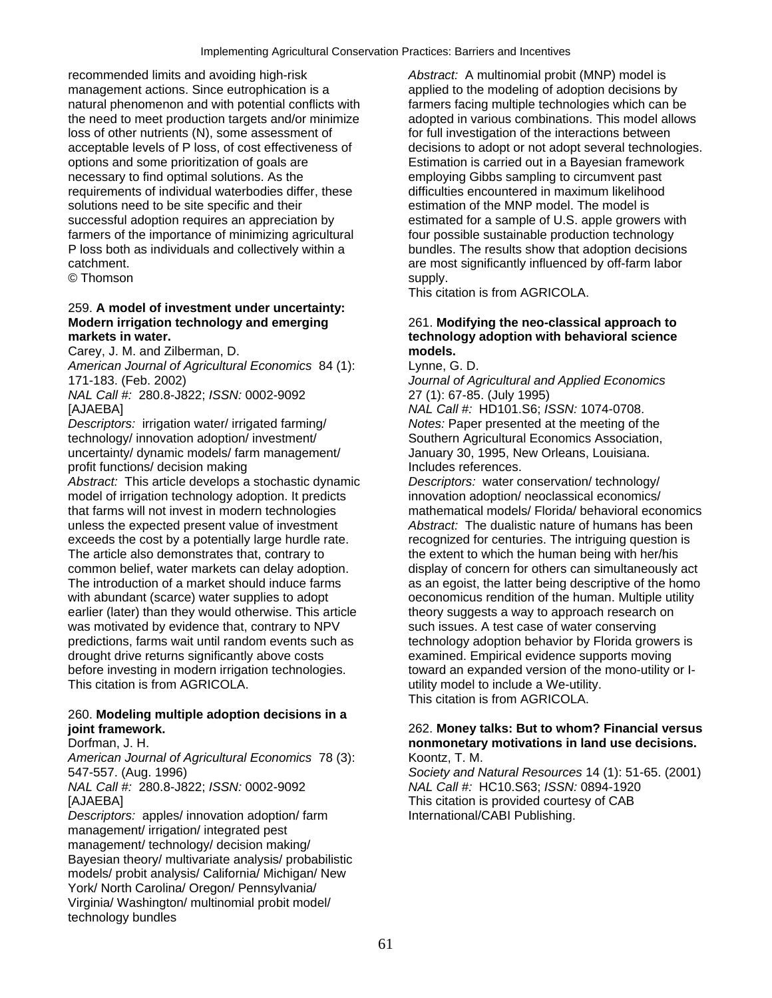recommended limits and avoiding high-risk *Abstract:* A multinomial probit (MNP) model is management actions. Since eutrophication is a applied to the modeling of adoption decisions by<br>
natural phenomenon and with potential conflicts with farmers facing multiple technologies which can be natural phenomenon and with potential conflicts with the need to meet production targets and/or minimize adopted in various combinations. This model allows loss of other nutrients (N), some assessment of for full investigation of the interactions between options and some prioritization of goals are Estimation is carried out in a Bayesian framework necessary to find optimal solutions. As the employing Gibbs sampling to circumvent past requirements of individual waterbodies differ, these difficulties encountered in maximum likelihood solutions need to be site specific and their estimation of the MNP model. The model is successful adoption requires an appreciation by estimated for a sample of U.S. apple growers with farmers of the importance of minimizing agricultural four possible sustainable production technology P loss both as individuals and collectively within a bundles. The results show that adoption decisions catchment. are most significantly influenced by off-farm labor © Thomson supply.

### 259. **A model of investment under uncertainty: Modern irrigation technology and emerging** 261. **Modifying the neo-classical approach to markets in water. technology adoption with behavioral science**

Carey, J. M. and Zilberman, D. **models.** 

*American Journal of Agricultural Economics* 84 (1): Lynne, G. D. 171-183. (Feb. 2002) *Journal of Agricultural and Applied Economics*

*NAL Call #:* 280.8-J822; *ISSN:* 0002-9092 27 (1): 67-85. (July 1995)

*Descriptors:* irrigation water/ irrigated farming/ *Notes:* Paper presented at the meeting of the technology/ innovation adoption/ investment/ Southern Agricultural Economics Association, uncertainty/ dynamic models/ farm management/ January 30, 1995, New Orleans, Louisiana. profit functions/ decision making includes references.

*Abstract:* This article develops a stochastic dynamic *Descriptors:* water conservation/ technology/ model of irrigation technology adoption. It predicts innovation adoption/ neoclassical economics/ unless the expected present value of investment *Abstract:* The dualistic nature of humans has been exceeds the cost by a potentially large hurdle rate. The intriguing question is The article also demonstrates that, contrary to the extent to which the human being with her/his common belief, water markets can delay adoption. display of concern for others can simultaneously act with abundant (scarce) water supplies to adopt oeconomicus rendition of the human. Multiple utility earlier (later) than they would otherwise. This article theory suggests a way to approach research on was motivated by evidence that, contrary to NPV such issues. A test case of water conserving predictions, farms wait until random events such as technology adoption behavior by Florida growers is drought drive returns significantly above costs examined. Empirical evidence supports moving before investing in modern irrigation technologies. The monotogeneous control and expanded version of the mono-utility or I-This citation is from AGRICOLA. This citation is from AGRICOLA.

# 260. **Modeling multiple adoption decisions in a**

*American Journal of Agricultural Economics* 78 (3): Koontz, T. M.

[AJAEBA] This citation is provided courtesy of CAB

*Descriptors:* apples/ innovation adoption/ farm **International/CABI Publishing.** management/ irrigation/ integrated pest management/ technology/ decision making/ Bayesian theory/ multivariate analysis/ probabilistic models/ probit analysis/ California/ Michigan/ New York/ North Carolina/ Oregon/ Pennsylvania/ Virginia/ Washington/ multinomial probit model/ technology bundles

acceptable levels of P loss, of cost effectiveness of decisions to adopt or not adopt several technologies.

This citation is from AGRICOLA.

[AJAEBA] *NAL Call #:* HD101.S6; *ISSN:* 1074-0708.

that farms will not invest in modern technologies mathematical models/ Florida/ behavioral economics The introduction of a market should induce farms as an egoist, the latter being descriptive of the homo This citation is from AGRICOLA.

### **joint framework.** 262. **Money talks: But to whom? Financial versus**  Dorfman, J. H. **nonmonetary motivations in land use decisions.**

547-557. (Aug. 1996) *Society and Natural Resources* 14 (1): 51-65. (2001) *NAL Call #:* 280.8-J822; *ISSN:* 0002-9092 *NAL Call #:* HC10.S63; *ISSN:* 0894-1920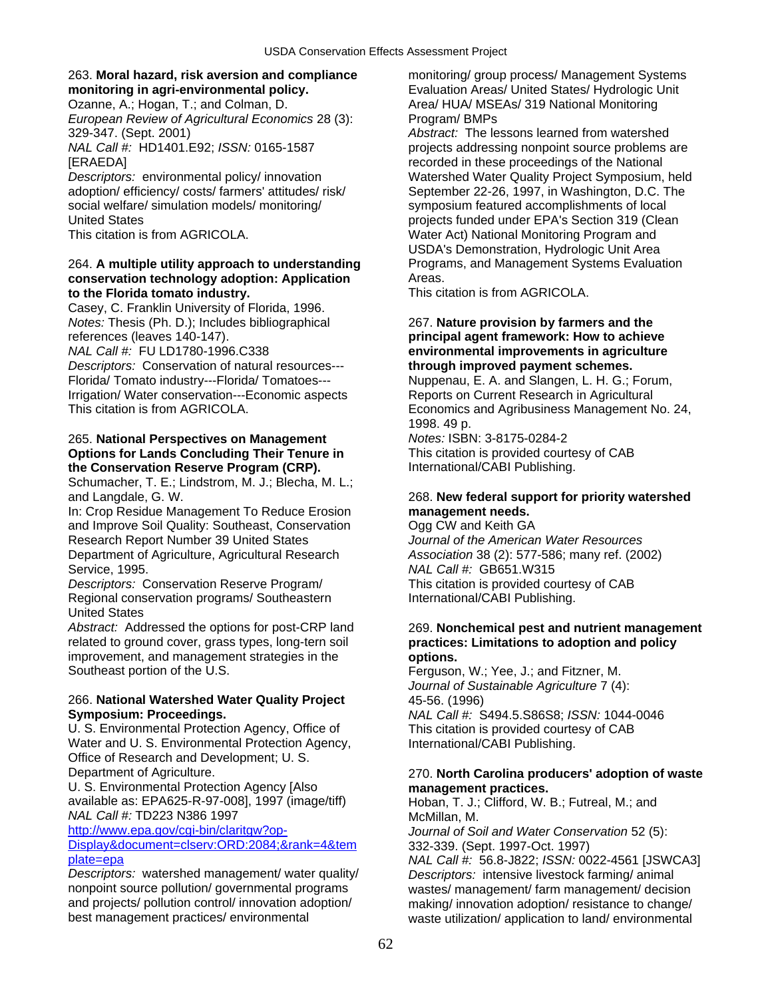### 263. **Moral hazard, risk aversion and compliance** monitoring/ group process/ Management Systems **monitoring in agri-environmental policy.** Evaluation Areas/ United States/ Hydrologic Unit

*European Review of Agricultural Economics* 28 (3): Program/ BMPs

adoption/ efficiency/ costs/ farmers' attitudes/ risk/ September 22-26, 1997, in Washington, D.C. The social welfare/ simulation models/ monitoring/ symposium featured accomplishments of local United States projects funded under EPA's Section 319 (Clean

### 264. **A multiple utility approach to understanding** Programs, and Management Systems Evaluation **conservation technology adoption: Application <br>
<b>to the Florida tomato industry.** This citation is from AGRICOLA. to the Florida tomato industry.

Casey, C. Franklin University of Florida, 1996. *Notes:* Thesis (Ph. D.); Includes bibliographical 267. **Nature provision by farmers and the**  references (leaves 140-147). **principal agent framework: How to achieve** 

Florida/ Tomato industry---Florida/ Tomatoes--- Nuppenau, E. A. and Slangen, L. H. G.; Forum, Irrigation/ Water conservation---Economic aspects Reports on Current Research in Agricultural

### **265. National Perspectives on Management Options for Lands Concluding Their Tenure in This citation is provided courtesy of CAB<br>
the Conservation Reserve Program (CRP). The International/CABI Publishing.** the Conservation Reserve Program (CRP).

Schumacher, T. E.; Lindstrom, M. J.; Blecha, M. L.; and Langdale, G. W. 268. **New federal support for priority watershed** 

In: Crop Residue Management To Reduce Erosion **management needs.**  and Improve Soil Quality: Southeast, Conservation Ogg CW and Keith GA Research Report Number 39 United States *Journal of the American Water Resources*  Department of Agriculture, Agricultural Research *Association* 38 (2): 577-586; many ref. (2002) Service, 1995. *NAL Call #:* GB651.W315

*Descriptors:* Conservation Reserve Program/ This citation is provided courtesy of CAB Regional conservation programs/ Southeastern **International**/CABI Publishing. United States

related to ground cover, grass types, long-tern soil **practices: Limitations to adoption and policy**  improvement, and management strategies in the **options.**<br>
Southeast portion of the U.S. Fergusor

# 266. **National Watershed Water Quality Project** 45-56. (1996)

U. S. Environmental Protection Agency, Office of This citation is provided courtesy of CAB Water and U. S. Environmental Protection Agency, **International/CABI Publishing.** Office of Research and Development; U. S.

U. S. Environmental Protection Agency [Also **management practices.**<br>
available as: EPA625-R-97-008], 1997 (image/tiff) Hoban, T. J.: Clifford, W. *NAL Call #:* TD223 N386 1997<br>http://www.epa.gov/cgi-bin/claritgw?op- McMillan, M.

### [Display&document=clserv:ORD:2084;&rank=4&tem](http://www.epa.gov/cgi-bin/claritgw?op-Display&document=clserv:ORD:2084;&rank=4&template=epa) 332-339. (Sept. 1997-Oct. 1997)

*Descriptors:* watershed management/ water quality/ *Descriptors:* intensive livestock farming/ animal nonpoint source pollution/ governmental programs wastes/ management/ farm management/ decision<br>and projects/ pollution control/ innovation adoption/ making/ innovation adoption/ resistance to change/ and projects/ pollution control/ innovation adoption/ making/ innovation adoption/ resistance to change/<br>best management practices/ environmental vaste utilization/ application to land/ environmental

Ozanne, A.; Hogan, T.; and Colman, D. Area/ HUA/ MSEAs/ 319 National Monitoring

329-347. (Sept. 2001) *Abstract:* The lessons learned from watershed projects addressing nonpoint source problems are [ERAEDA] recorded in these proceedings of the National *Descriptors:* environmental policy/ innovation Watershed Water Quality Project Symposium, held This citation is from AGRICOLA. Water Act) National Monitoring Program and USDA's Demonstration, Hydrologic Unit Area

# *NAL Call #:* FU LD1780-1996.C338 **environmental improvements in agriculture**  *Descriptors:* Conservation of natural resources--- **through improved payment schemes.**

This citation is from AGRICOLA. Economics and Agribusiness Management No. 24, 1998. 49 p.<br>Notes: ISBN: 3-8175-0284-2

# *Abstract:* Addressed the options for post-CRP land 269. **Nonchemical pest and nutrient management**

Ferguson, W.; Yee, J.; and Fitzner, M. *Journal of Sustainable Agriculture* 7 (4): **Symposium: Proceedings.** *NAL Call #:* S494.5.S86S8; *ISSN:* 1044-0046

# Department of Agriculture. 270. **North Carolina producers' adoption of waste**

Hoban, T. J.; Clifford, W. B.; Futreal, M.; and

Journal of Soil and Water Conservation 52 (5):

[plate=epa](http://www.epa.gov/cgi-bin/claritgw?op-Display&document=clserv:ORD:2084;&rank=4&template=epa) *NAL Call #:* 56.8-J822; *ISSN:* 0022-4561 [JSWCA3] waste utilization/ application to land/ environmental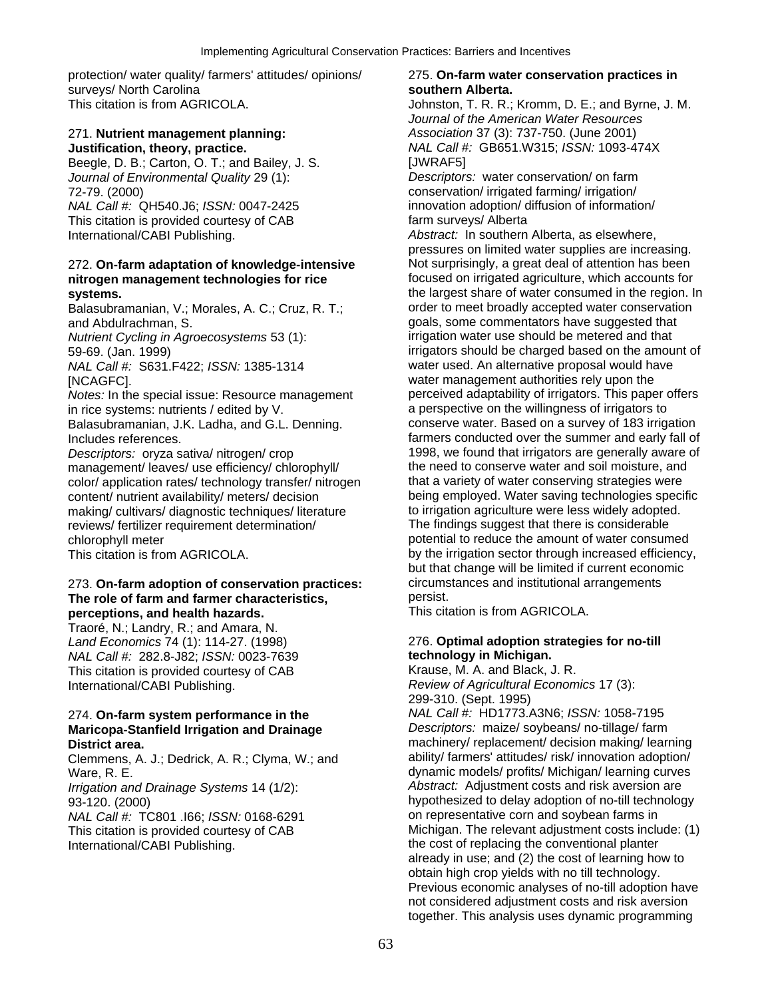protection/ water quality/ farmers' attitudes/ opinions/ 275. **On-farm water conservation practices in**  surveys/ North Carolina **by the control of the southern Alberta.**<br>
This citation is from AGRICOLA. **Southern Alberta.** This citation is from AGRICOLA.

Beegle, D. B.; Carton, O. T.; and Bailey, J. S. [JWRAF5] *Journal of Environmental Quality* 29 (1): *Descriptors:* water conservation/ on farm 72-79. (2000) conservation/ irrigated farming/ irrigation/ *NAL Call #:* QH540.J6; *ISSN:* 0047-2425 innovation adoption/ diffusion of information/ This citation is provided courtesy of CAB farm surveys/ Alberta

and Abdulrachman, S. goals, some commentators have suggested that

*NAL Call #: S631.F422; ISSN: 1385-1314* 

*Notes:* In the special issue: Resource management Balasubramanian, J.K. Ladha, and G.L. Denning.

management/ leaves/ use efficiency/ chlorophyll/ the need to conserve water and soil moisture, and<br>color/ application rates/ technology transfer/ nitrogen that a variety of water conserving strategies were color/ application rates/ technology transfer/ nitrogen making/ cultivars/ diagnostic techniques/ literature to irrigation agriculture were less widely adopted. reviews/ fertilizer requirement determination/ The findings suggest that there is considerable

### 273. **On-farm adoption of conservation practices:** circumstances and institutional arrangements **The role of farm and farmer characteristics, example in the persist.<br>
<b>Perceptions, and health hazards.** This citation is from AGRICOLA. perceptions, and health hazards.

Traoré, N.; Landry, R.; and Amara, N. *NAL Call #:* 282.8-J82; *ISSN:* 0023-7639 **technology in Michigan.**  This citation is provided courtesy of CAB International/CABI Publishing. *Review of Agricultural Economics* 17 (3):

# **Maricopa-Stanfield Irrigation and Drainage**

Clemmens, A. J.; Dedrick, A. R.; Clyma, W.; and

*NAL Call #:* TC801 .166; *ISSN:* 0168-6291

Johnston, T. R. R.; Kromm, D. E.; and Byrne, J. M. *Journal of the American Water Resources*  271. **Nutrient management planning:** *Association* 37 (3): 737-750. (June 2001) **Justification, theory, practice.** *NAL Call #:* GB651.W315; *ISSN:* 1093-474X

International/CABI Publishing. **Abstract:** In southern Alberta, as elsewhere, pressures on limited water supplies are increasing. 272. **On-farm adaptation of knowledge-intensive** Not surprisingly, a great deal of attention has been **nitrogen management technologies for rice** focused on irrigated agriculture, which accounts for **systems. Systems. the largest share of water consumed in the region. In** Balasubramanian, V.; Morales, A. C.; Cruz, R. T.; order to meet broadly accepted water conservation *Nutrient Cycling in Agroecosystems* 53 (1): irrigation water use should be metered and that 59-69. (Jan. 1999)<br>
MAL Call #: S631.F422: ISSN: 1385-1314 vater used. An alternative proposal would have [NCAGFC].<br> *Notes:* In the special issue: Resource management **the absolute of the perceived adaptability of irrigators. This paper offers** in rice systems: nutrients / edited by V. a metal of perspective on the willingness of irrigators to inclusion<br>Balasubramanian, J.K. Ladha, and G.L. Denning. Conserve water. Based on a survey of 183 irrigation Includes references. farmers conducted over the summer and early fall of *Descriptors:* oryza sativa/ nitrogen/ crop 1998, we found that irrigators are generally aware of management/ leaves/ use efficiency/ chlorophyll/ the need to conserve water and soil moisture, and content/ nutrient availability/ meters/ decision being employed. Water saving technologies specific chlorophyll meter potential to reduce the amount of water consumed This citation is from AGRICOLA. by the irrigation sector through increased efficiency, but that change will be limited if current economic

# *Land Economics* 74 (1): 114-27. (1998) 276. **Optimal adoption strategies for no-till**

299-310. (Sept. 1995)

274. **On-farm system performance in the** *NAL Call #:* HD1773.A3N6; *ISSN:* 1058-7195 **District area. District area. District area. District area. District area. District area. District area. Clemmens A. J.: Dedrick A. R.: Clyma.** W.: and **ability/ farmers' attitudes/ risk/ innovation adoption** Ware, R. E. Ware, R. E. dynamic models/ profits/ Michigan/ learning curves *Irrigation and Drainage Systems* 14 (1/2): *Abstract:* Adjustment costs and risk aversion are 93-120. (2000)<br>
May Call #: TC801, I66: ISSN: 0168-6291<br>
May Call #: TC801, I66: ISSN: 0168-6291<br>
on representative corn and sovbean farms in This citation is provided courtesy of CAB Michigan. The relevant adjustment costs include: (1) International/CABI Publishing. The cost of replacing the conventional planter already in use; and (2) the cost of learning how to obtain high crop yields with no till technology. Previous economic analyses of no-till adoption have not considered adjustment costs and risk aversion together. This analysis uses dynamic programming